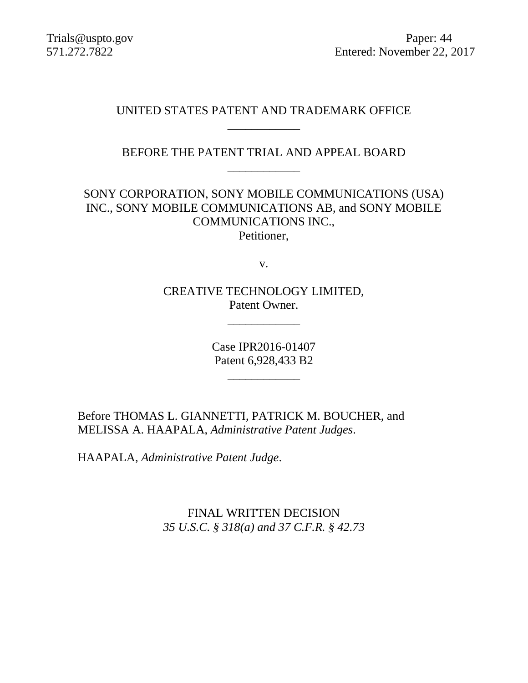Trials@uspto.gov Paper: 44 571.272.7822 Entered: November 22, 2017

# UNITED STATES PATENT AND TRADEMARK OFFICE \_\_\_\_\_\_\_\_\_\_\_\_

BEFORE THE PATENT TRIAL AND APPEAL BOARD \_\_\_\_\_\_\_\_\_\_\_\_

SONY CORPORATION, SONY MOBILE COMMUNICATIONS (USA) INC., SONY MOBILE COMMUNICATIONS AB, and SONY MOBILE COMMUNICATIONS INC., Petitioner,

v.

CREATIVE TECHNOLOGY LIMITED, Patent Owner.

\_\_\_\_\_\_\_\_\_\_\_\_

Case IPR2016-01407 Patent 6,928,433 B2

\_\_\_\_\_\_\_\_\_\_\_\_

Before THOMAS L. GIANNETTI, PATRICK M. BOUCHER, and MELISSA A. HAAPALA, *Administrative Patent Judges*.

HAAPALA, *Administrative Patent Judge*.

FINAL WRITTEN DECISION *35 U.S.C. § 318(a) and 37 C.F.R. § 42.73*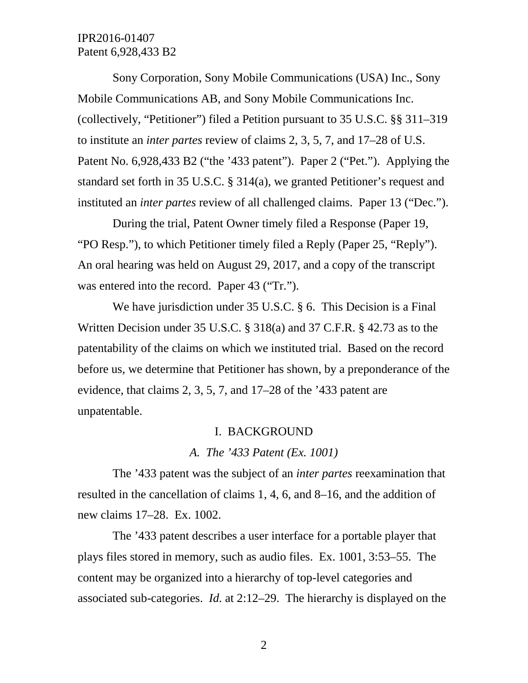Sony Corporation, Sony Mobile Communications (USA) Inc., Sony Mobile Communications AB, and Sony Mobile Communications Inc. (collectively, "Petitioner") filed a Petition pursuant to 35 U.S.C. §§ 311–319 to institute an *inter partes* review of claims 2, 3, 5, 7, and 17–28 of U.S. Patent No. 6,928,433 B2 ("the '433 patent"). Paper 2 ("Pet."). Applying the standard set forth in 35 U.S.C. § 314(a), we granted Petitioner's request and instituted an *inter partes* review of all challenged claims. Paper 13 ("Dec.").

During the trial, Patent Owner timely filed a Response (Paper 19, "PO Resp."), to which Petitioner timely filed a Reply (Paper 25, "Reply"). An oral hearing was held on August 29, 2017, and a copy of the transcript was entered into the record. Paper 43 ("Tr.").

We have jurisdiction under 35 U.S.C. § 6. This Decision is a Final Written Decision under 35 U.S.C. § 318(a) and 37 C.F.R. § 42.73 as to the patentability of the claims on which we instituted trial. Based on the record before us, we determine that Petitioner has shown, by a preponderance of the evidence, that claims 2, 3, 5, 7, and 17–28 of the '433 patent are unpatentable.

#### I. BACKGROUND

#### *A. The '433 Patent (Ex. 1001)*

The '433 patent was the subject of an *inter partes* reexamination that resulted in the cancellation of claims 1, 4, 6, and 8–16, and the addition of new claims 17–28. Ex. 1002.

The '433 patent describes a user interface for a portable player that plays files stored in memory, such as audio files. Ex. 1001, 3:53–55. The content may be organized into a hierarchy of top-level categories and associated sub-categories. *Id.* at 2:12–29. The hierarchy is displayed on the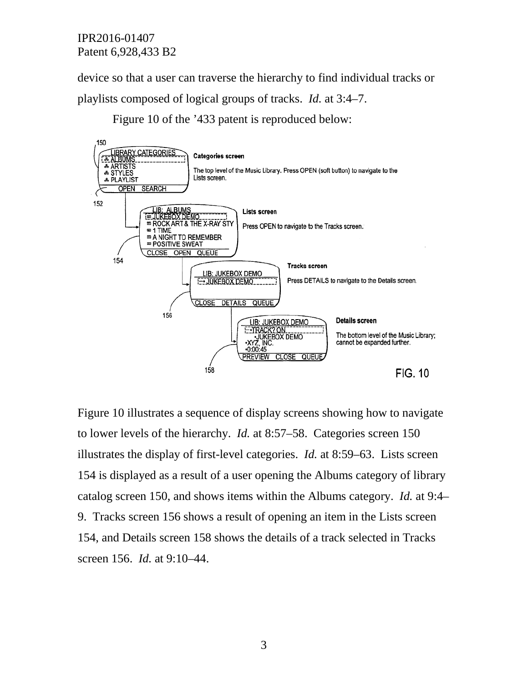device so that a user can traverse the hierarchy to find individual tracks or playlists composed of logical groups of tracks. *Id.* at 3:4–7.

Figure 10 of the '433 patent is reproduced below:



Figure 10 illustrates a sequence of display screens showing how to navigate to lower levels of the hierarchy. *Id.* at 8:57–58. Categories screen 150 illustrates the display of first-level categories. *Id.* at 8:59–63. Lists screen 154 is displayed as a result of a user opening the Albums category of library catalog screen 150, and shows items within the Albums category. *Id.* at 9:4– 9. Tracks screen 156 shows a result of opening an item in the Lists screen 154, and Details screen 158 shows the details of a track selected in Tracks screen 156. *Id.* at 9:10–44.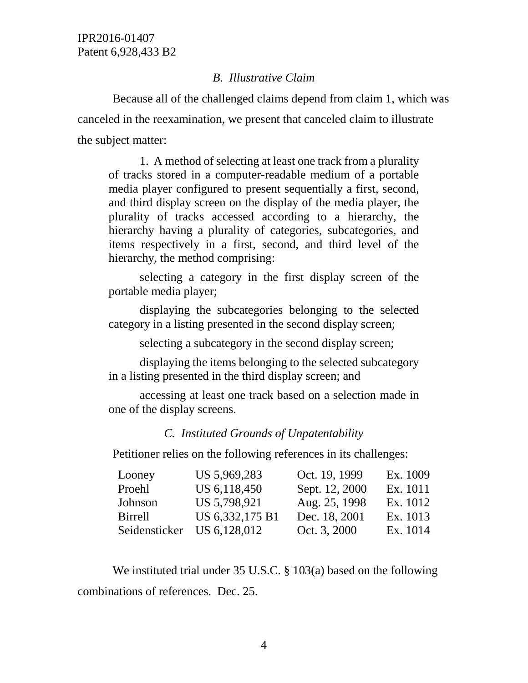## *B. Illustrative Claim*

Because all of the challenged claims depend from claim 1, which was canceled in the reexamination, we present that canceled claim to illustrate the subject matter:

1. A method of selecting at least one track from a plurality of tracks stored in a computer-readable medium of a portable media player configured to present sequentially a first, second, and third display screen on the display of the media player, the plurality of tracks accessed according to a hierarchy, the hierarchy having a plurality of categories, subcategories, and items respectively in a first, second, and third level of the hierarchy, the method comprising:

selecting a category in the first display screen of the portable media player;

displaying the subcategories belonging to the selected category in a listing presented in the second display screen;

selecting a subcategory in the second display screen;

displaying the items belonging to the selected subcategory in a listing presented in the third display screen; and

accessing at least one track based on a selection made in one of the display screens.

## *C. Instituted Grounds of Unpatentability*

Petitioner relies on the following references in its challenges:

| Looney         | US 5,969,283    | Oct. 19, 1999  | Ex. 1009 |
|----------------|-----------------|----------------|----------|
| Proehl         | US 6,118,450    | Sept. 12, 2000 | Ex. 1011 |
| Johnson        | US 5,798,921    | Aug. 25, 1998  | Ex. 1012 |
| <b>Birrell</b> | US 6,332,175 B1 | Dec. 18, 2001  | Ex. 1013 |
| Seidensticker  | US 6,128,012    | Oct. 3, 2000   | Ex. 1014 |

We instituted trial under 35 U.S.C. § 103(a) based on the following combinations of references. Dec. 25.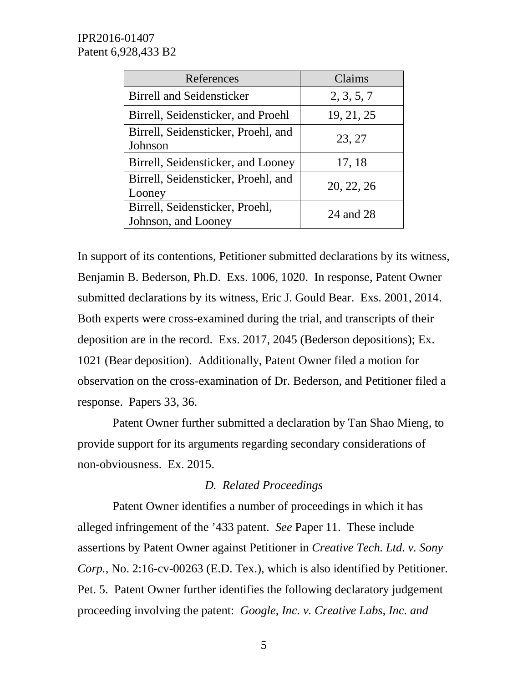| References                                             | Claims     |
|--------------------------------------------------------|------------|
| <b>Birrell and Seidensticker</b>                       | 2, 3, 5, 7 |
| Birrell, Seidensticker, and Proehl                     | 19, 21, 25 |
| Birrell, Seidensticker, Proehl, and<br>Johnson         | 23, 27     |
| Birrell, Seidensticker, and Looney                     | 17, 18     |
| Birrell, Seidensticker, Proehl, and<br>Looney          | 20, 22, 26 |
| Birrell, Seidensticker, Proehl,<br>Johnson, and Looney | 24 and 28  |

In support of its contentions, Petitioner submitted declarations by its witness, Benjamin B. Bederson, Ph.D. Exs. 1006, 1020. In response, Patent Owner submitted declarations by its witness, Eric J. Gould Bear. Exs. 2001, 2014. Both experts were cross-examined during the trial, and transcripts of their deposition are in the record. Exs. 2017, 2045 (Bederson depositions); Ex. 1021 (Bear deposition). Additionally, Patent Owner filed a motion for observation on the cross-examination of Dr. Bederson, and Petitioner filed a response. Papers 33, 36.

Patent Owner further submitted a declaration by Tan Shao Mieng, to provide support for its arguments regarding secondary considerations of non-obviousness. Ex. 2015.

## *D. Related Proceedings*

Patent Owner identifies a number of proceedings in which it has alleged infringement of the '433 patent. *See* Paper 11. These include assertions by Patent Owner against Petitioner in *Creative Tech. Ltd. v. Sony Corp.*, No. 2:16-cv-00263 (E.D. Tex.), which is also identified by Petitioner. Pet. 5. Patent Owner further identifies the following declaratory judgement proceeding involving the patent: *Google, Inc. v. Creative Labs, Inc. and*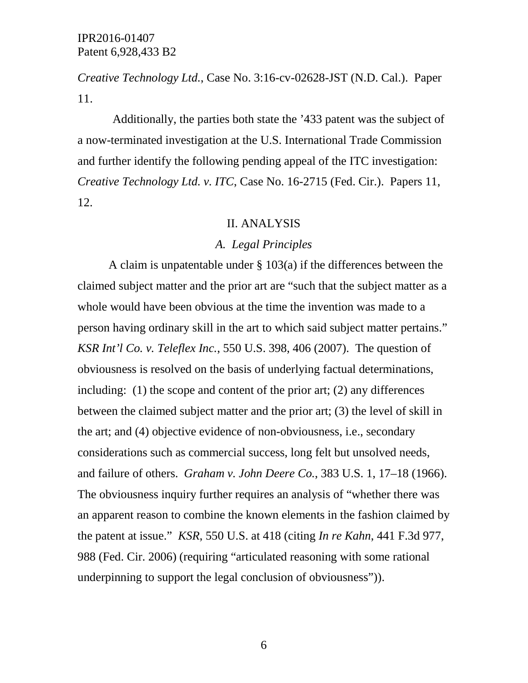*Creative Technology Ltd.*, Case No. 3:16-cv-02628-JST (N.D. Cal.). Paper 11.

Additionally, the parties both state the '433 patent was the subject of a now-terminated investigation at the U.S. International Trade Commission and further identify the following pending appeal of the ITC investigation: *Creative Technology Ltd. v. ITC*, Case No. 16-2715 (Fed. Cir.). Papers 11, 12.

#### II. ANALYSIS

#### *A. Legal Principles*

A claim is unpatentable under  $\S$  103(a) if the differences between the claimed subject matter and the prior art are "such that the subject matter as a whole would have been obvious at the time the invention was made to a person having ordinary skill in the art to which said subject matter pertains." *KSR Int'l Co. v. Teleflex Inc.*, 550 U.S. 398, 406 (2007). The question of obviousness is resolved on the basis of underlying factual determinations, including: (1) the scope and content of the prior art; (2) any differences between the claimed subject matter and the prior art; (3) the level of skill in the art; and (4) objective evidence of non-obviousness, i.e., secondary considerations such as commercial success, long felt but unsolved needs, and failure of others. *Graham v. John Deere Co.*, 383 U.S. 1, 17–18 (1966). The obviousness inquiry further requires an analysis of "whether there was an apparent reason to combine the known elements in the fashion claimed by the patent at issue." *KSR*, 550 U.S. at 418 (citing *In re Kahn*, 441 F.3d 977, 988 (Fed. Cir. 2006) (requiring "articulated reasoning with some rational underpinning to support the legal conclusion of obviousness")).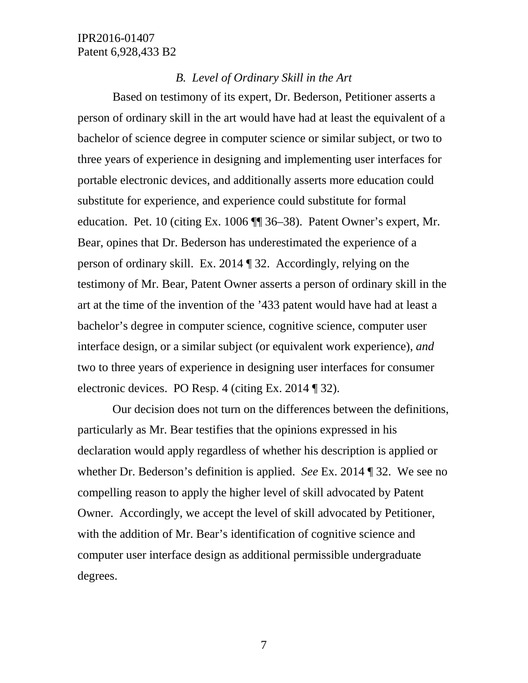#### *B. Level of Ordinary Skill in the Art*

Based on testimony of its expert, Dr. Bederson, Petitioner asserts a person of ordinary skill in the art would have had at least the equivalent of a bachelor of science degree in computer science or similar subject, or two to three years of experience in designing and implementing user interfaces for portable electronic devices, and additionally asserts more education could substitute for experience, and experience could substitute for formal education. Pet. 10 (citing Ex. 1006 ¶¶ 36–38). Patent Owner's expert, Mr. Bear, opines that Dr. Bederson has underestimated the experience of a person of ordinary skill. Ex. 2014 ¶ 32. Accordingly, relying on the testimony of Mr. Bear, Patent Owner asserts a person of ordinary skill in the art at the time of the invention of the '433 patent would have had at least a bachelor's degree in computer science, cognitive science, computer user interface design, or a similar subject (or equivalent work experience), *and* two to three years of experience in designing user interfaces for consumer electronic devices. PO Resp. 4 (citing Ex. 2014 ¶ 32).

Our decision does not turn on the differences between the definitions, particularly as Mr. Bear testifies that the opinions expressed in his declaration would apply regardless of whether his description is applied or whether Dr. Bederson's definition is applied. *See* Ex. 2014 ¶ 32. We see no compelling reason to apply the higher level of skill advocated by Patent Owner. Accordingly, we accept the level of skill advocated by Petitioner, with the addition of Mr. Bear's identification of cognitive science and computer user interface design as additional permissible undergraduate degrees.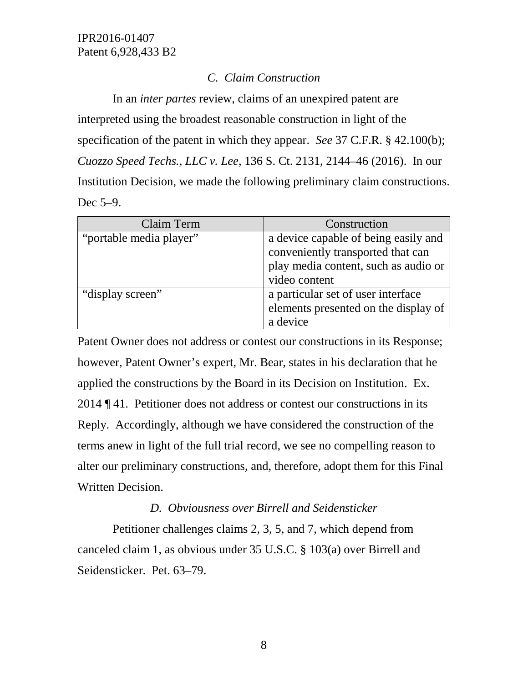# *C. Claim Construction*

In an *inter partes* review, claims of an unexpired patent are interpreted using the broadest reasonable construction in light of the specification of the patent in which they appear. *See* 37 C.F.R. § 42.100(b); *Cuozzo Speed Techs., LLC v. Lee*, 136 S. Ct. 2131, 2144–46 (2016). In our Institution Decision, we made the following preliminary claim constructions. Dec 5–9.

| Claim Term              | Construction                                                                                                                       |
|-------------------------|------------------------------------------------------------------------------------------------------------------------------------|
| "portable media player" | a device capable of being easily and<br>conveniently transported that can<br>play media content, such as audio or<br>video content |
| "display screen"        | a particular set of user interface<br>elements presented on the display of<br>a device                                             |

Patent Owner does not address or contest our constructions in its Response; however, Patent Owner's expert, Mr. Bear, states in his declaration that he applied the constructions by the Board in its Decision on Institution. Ex. 2014 ¶ 41. Petitioner does not address or contest our constructions in its Reply. Accordingly, although we have considered the construction of the terms anew in light of the full trial record, we see no compelling reason to alter our preliminary constructions, and, therefore, adopt them for this Final Written Decision.

# *D. Obviousness over Birrell and Seidensticker*

Petitioner challenges claims 2, 3, 5, and 7, which depend from canceled claim 1, as obvious under 35 U.S.C. § 103(a) over Birrell and Seidensticker. Pet. 63–79.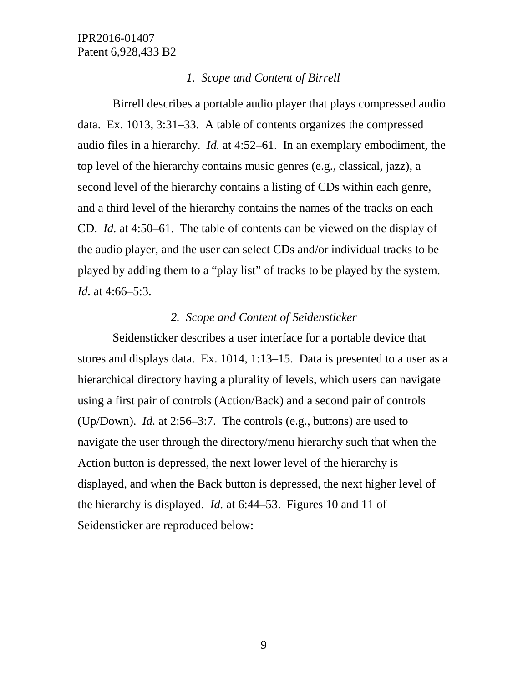#### *1. Scope and Content of Birrell*

Birrell describes a portable audio player that plays compressed audio data. Ex. 1013, 3:31–33. A table of contents organizes the compressed audio files in a hierarchy. *Id.* at 4:52–61. In an exemplary embodiment, the top level of the hierarchy contains music genres (e.g., classical, jazz), a second level of the hierarchy contains a listing of CDs within each genre, and a third level of the hierarchy contains the names of the tracks on each CD. *Id.* at 4:50–61. The table of contents can be viewed on the display of the audio player, and the user can select CDs and/or individual tracks to be played by adding them to a "play list" of tracks to be played by the system. *Id.* at 4:66–5:3.

#### *2. Scope and Content of Seidensticker*

Seidensticker describes a user interface for a portable device that stores and displays data. Ex. 1014, 1:13–15. Data is presented to a user as a hierarchical directory having a plurality of levels, which users can navigate using a first pair of controls (Action/Back) and a second pair of controls (Up/Down). *Id.* at 2:56–3:7. The controls (e.g., buttons) are used to navigate the user through the directory/menu hierarchy such that when the Action button is depressed, the next lower level of the hierarchy is displayed, and when the Back button is depressed, the next higher level of the hierarchy is displayed. *Id.* at 6:44–53. Figures 10 and 11 of Seidensticker are reproduced below: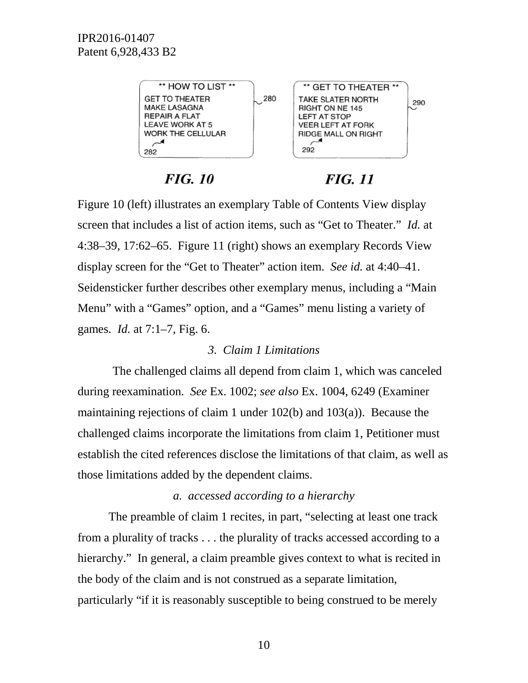

# **FIG. 10**

# *FIG. 11*

Figure 10 (left) illustrates an exemplary Table of Contents View display screen that includes a list of action items, such as "Get to Theater." *Id.* at 4:38–39, 17:62–65. Figure 11 (right) shows an exemplary Records View display screen for the "Get to Theater" action item. *See id.* at 4:40–41. Seidensticker further describes other exemplary menus, including a "Main Menu" with a "Games" option, and a "Games" menu listing a variety of games. *Id.* at 7:1–7, Fig. 6.

# *3. Claim 1 Limitations*

The challenged claims all depend from claim 1, which was canceled during reexamination. *See* Ex. 1002; *see also* Ex. 1004, 6249 (Examiner maintaining rejections of claim 1 under 102(b) and 103(a)). Because the challenged claims incorporate the limitations from claim 1, Petitioner must establish the cited references disclose the limitations of that claim, as well as those limitations added by the dependent claims.

# *a. accessed according to a hierarchy*

The preamble of claim 1 recites, in part, "selecting at least one track from a plurality of tracks . . . the plurality of tracks accessed according to a hierarchy." In general, a claim preamble gives context to what is recited in the body of the claim and is not construed as a separate limitation, particularly "if it is reasonably susceptible to being construed to be merely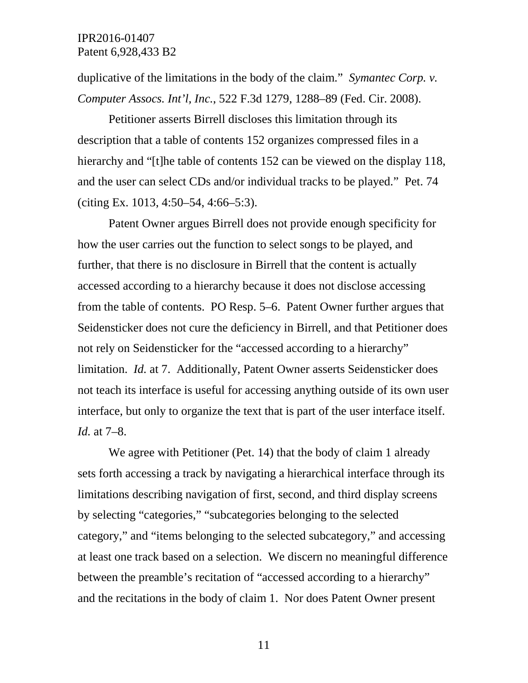duplicative of the limitations in the body of the claim." *Symantec Corp. v. Computer Assocs. Int'l, Inc.*, 522 F.3d 1279, 1288–89 (Fed. Cir. 2008).

Petitioner asserts Birrell discloses this limitation through its description that a table of contents 152 organizes compressed files in a hierarchy and "[t]he table of contents 152 can be viewed on the display 118, and the user can select CDs and/or individual tracks to be played." Pet. 74 (citing Ex. 1013, 4:50–54, 4:66–5:3).

Patent Owner argues Birrell does not provide enough specificity for how the user carries out the function to select songs to be played, and further, that there is no disclosure in Birrell that the content is actually accessed according to a hierarchy because it does not disclose accessing from the table of contents. PO Resp. 5–6. Patent Owner further argues that Seidensticker does not cure the deficiency in Birrell, and that Petitioner does not rely on Seidensticker for the "accessed according to a hierarchy" limitation. *Id.* at 7. Additionally, Patent Owner asserts Seidensticker does not teach its interface is useful for accessing anything outside of its own user interface, but only to organize the text that is part of the user interface itself. *Id.* at 7–8.

We agree with Petitioner (Pet. 14) that the body of claim 1 already sets forth accessing a track by navigating a hierarchical interface through its limitations describing navigation of first, second, and third display screens by selecting "categories," "subcategories belonging to the selected category," and "items belonging to the selected subcategory," and accessing at least one track based on a selection. We discern no meaningful difference between the preamble's recitation of "accessed according to a hierarchy" and the recitations in the body of claim 1. Nor does Patent Owner present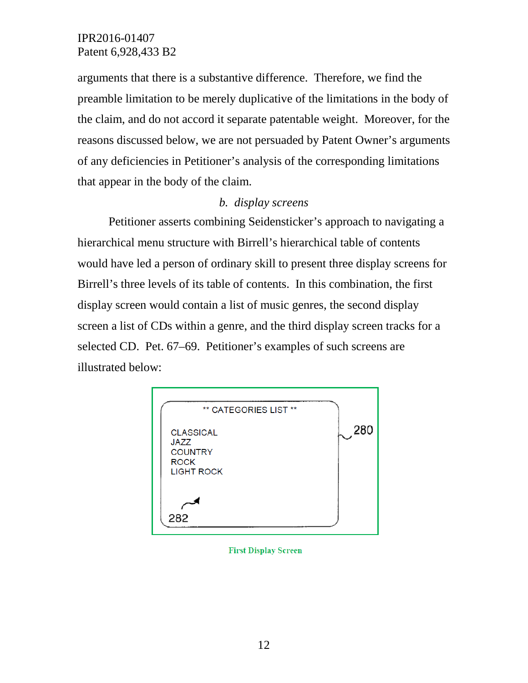arguments that there is a substantive difference. Therefore, we find the preamble limitation to be merely duplicative of the limitations in the body of the claim, and do not accord it separate patentable weight. Moreover, for the reasons discussed below, we are not persuaded by Patent Owner's arguments of any deficiencies in Petitioner's analysis of the corresponding limitations that appear in the body of the claim.

## *b. display screens*

Petitioner asserts combining Seidensticker's approach to navigating a hierarchical menu structure with Birrell's hierarchical table of contents would have led a person of ordinary skill to present three display screens for Birrell's three levels of its table of contents. In this combination, the first display screen would contain a list of music genres, the second display screen a list of CDs within a genre, and the third display screen tracks for a selected CD. Pet. 67–69. Petitioner's examples of such screens are illustrated below:



#### **First Display Screen**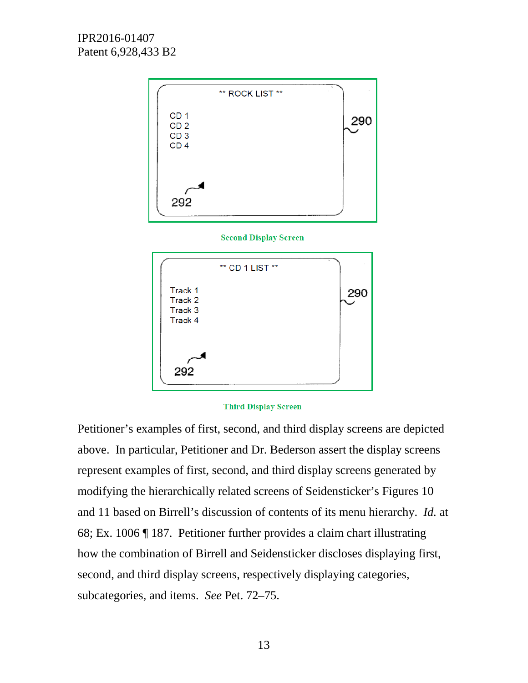

**Second Display Screen** 



#### **Third Display Screen**

Petitioner's examples of first, second, and third display screens are depicted above. In particular, Petitioner and Dr. Bederson assert the display screens represent examples of first, second, and third display screens generated by modifying the hierarchically related screens of Seidensticker's Figures 10 and 11 based on Birrell's discussion of contents of its menu hierarchy. *Id.* at 68; Ex. 1006 ¶ 187. Petitioner further provides a claim chart illustrating how the combination of Birrell and Seidensticker discloses displaying first, second, and third display screens, respectively displaying categories, subcategories, and items. *See* Pet. 72–75.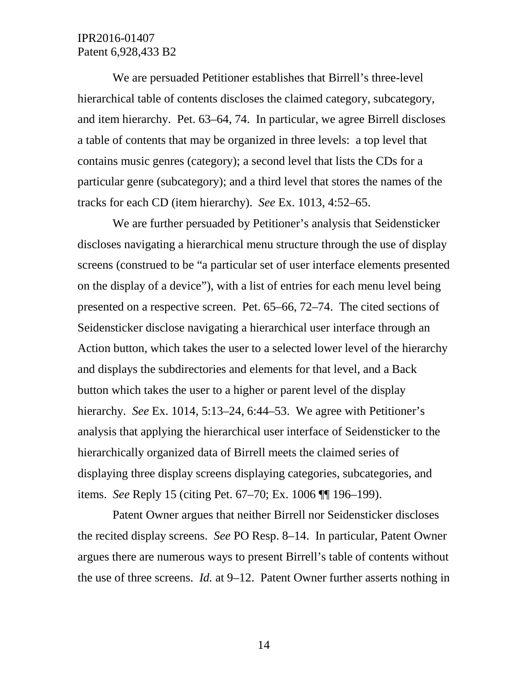We are persuaded Petitioner establishes that Birrell's three-level hierarchical table of contents discloses the claimed category, subcategory, and item hierarchy. Pet. 63–64, 74. In particular, we agree Birrell discloses a table of contents that may be organized in three levels: a top level that contains music genres (category); a second level that lists the CDs for a particular genre (subcategory); and a third level that stores the names of the tracks for each CD (item hierarchy). *See* Ex. 1013, 4:52–65.

We are further persuaded by Petitioner's analysis that Seidensticker discloses navigating a hierarchical menu structure through the use of display screens (construed to be "a particular set of user interface elements presented on the display of a device"), with a list of entries for each menu level being presented on a respective screen. Pet. 65–66, 72–74. The cited sections of Seidensticker disclose navigating a hierarchical user interface through an Action button, which takes the user to a selected lower level of the hierarchy and displays the subdirectories and elements for that level, and a Back button which takes the user to a higher or parent level of the display hierarchy. *See* Ex. 1014, 5:13–24, 6:44–53. We agree with Petitioner's analysis that applying the hierarchical user interface of Seidensticker to the hierarchically organized data of Birrell meets the claimed series of displaying three display screens displaying categories, subcategories, and items. *See* Reply 15 (citing Pet. 67–70; Ex. 1006 ¶¶ 196–199).

Patent Owner argues that neither Birrell nor Seidensticker discloses the recited display screens. *See* PO Resp. 8–14. In particular, Patent Owner argues there are numerous ways to present Birrell's table of contents without the use of three screens. *Id.* at 9–12. Patent Owner further asserts nothing in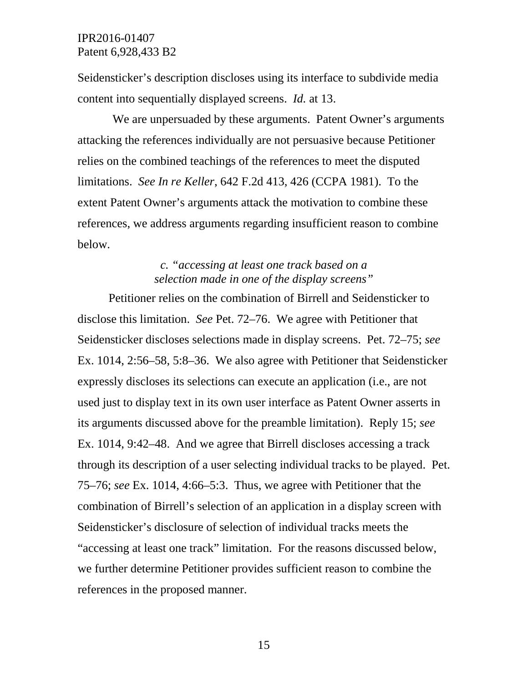Seidensticker's description discloses using its interface to subdivide media content into sequentially displayed screens. *Id.* at 13.

We are unpersuaded by these arguments. Patent Owner's arguments attacking the references individually are not persuasive because Petitioner relies on the combined teachings of the references to meet the disputed limitations. *See In re Keller*, 642 F.2d 413, 426 (CCPA 1981). To the extent Patent Owner's arguments attack the motivation to combine these references, we address arguments regarding insufficient reason to combine below.

# *c. "accessing at least one track based on a selection made in one of the display screens"*

Petitioner relies on the combination of Birrell and Seidensticker to disclose this limitation. *See* Pet. 72–76. We agree with Petitioner that Seidensticker discloses selections made in display screens. Pet. 72–75; *see* Ex. 1014, 2:56–58, 5:8–36. We also agree with Petitioner that Seidensticker expressly discloses its selections can execute an application (i.e., are not used just to display text in its own user interface as Patent Owner asserts in its arguments discussed above for the preamble limitation). Reply 15; *see*  Ex. 1014, 9:42–48. And we agree that Birrell discloses accessing a track through its description of a user selecting individual tracks to be played. Pet. 75–76; *see* Ex. 1014, 4:66–5:3. Thus, we agree with Petitioner that the combination of Birrell's selection of an application in a display screen with Seidensticker's disclosure of selection of individual tracks meets the "accessing at least one track" limitation. For the reasons discussed below, we further determine Petitioner provides sufficient reason to combine the references in the proposed manner.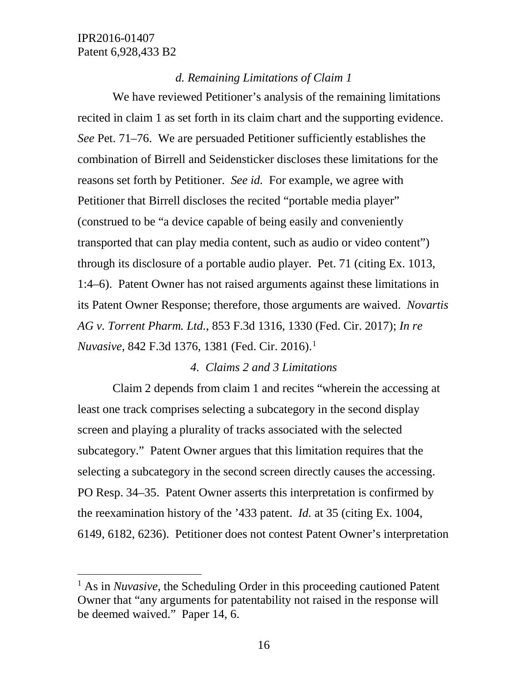### *d. Remaining Limitations of Claim 1*

We have reviewed Petitioner's analysis of the remaining limitations recited in claim 1 as set forth in its claim chart and the supporting evidence. *See* Pet. 71–76. We are persuaded Petitioner sufficiently establishes the combination of Birrell and Seidensticker discloses these limitations for the reasons set forth by Petitioner. *See id.* For example, we agree with Petitioner that Birrell discloses the recited "portable media player" (construed to be "a device capable of being easily and conveniently transported that can play media content, such as audio or video content") through its disclosure of a portable audio player. Pet. 71 (citing Ex. 1013, 1:4–6). Patent Owner has not raised arguments against these limitations in its Patent Owner Response; therefore, those arguments are waived. *Novartis AG v. Torrent Pharm. Ltd.*, 853 F.3d 1316, 1330 (Fed. Cir. 2017); *In re Nuvasive*, 842 F.3d [1](#page-15-0)376, 1381 (Fed. Cir. 2016).<sup>1</sup>

#### *4. Claims 2 and 3 Limitations*

Claim 2 depends from claim 1 and recites "wherein the accessing at least one track comprises selecting a subcategory in the second display screen and playing a plurality of tracks associated with the selected subcategory." Patent Owner argues that this limitation requires that the selecting a subcategory in the second screen directly causes the accessing. PO Resp. 34–35. Patent Owner asserts this interpretation is confirmed by the reexamination history of the '433 patent. *Id.* at 35 (citing Ex. 1004, 6149, 6182, 6236). Petitioner does not contest Patent Owner's interpretation

<span id="page-15-0"></span><sup>&</sup>lt;sup>1</sup> As in *Nuvasive*, the Scheduling Order in this proceeding cautioned Patent Owner that "any arguments for patentability not raised in the response will be deemed waived." Paper 14, 6.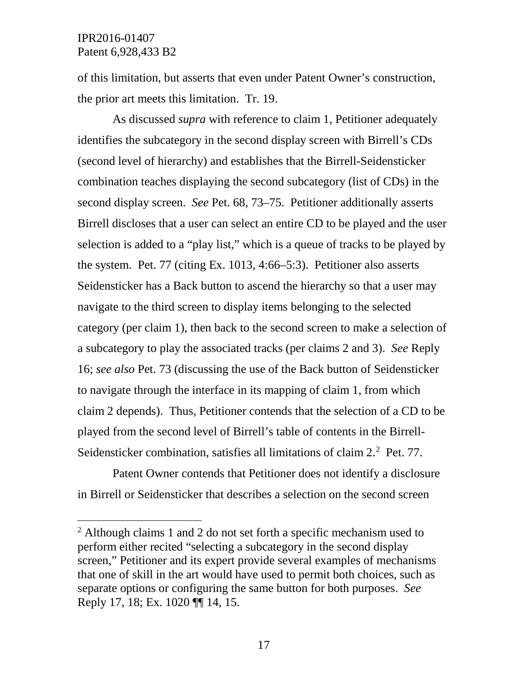of this limitation, but asserts that even under Patent Owner's construction, the prior art meets this limitation. Tr. 19.

As discussed *supra* with reference to claim 1, Petitioner adequately identifies the subcategory in the second display screen with Birrell's CDs (second level of hierarchy) and establishes that the Birrell-Seidensticker combination teaches displaying the second subcategory (list of CDs) in the second display screen. *See* Pet. 68, 73–75. Petitioner additionally asserts Birrell discloses that a user can select an entire CD to be played and the user selection is added to a "play list," which is a queue of tracks to be played by the system. Pet. 77 (citing Ex. 1013, 4:66–5:3). Petitioner also asserts Seidensticker has a Back button to ascend the hierarchy so that a user may navigate to the third screen to display items belonging to the selected category (per claim 1), then back to the second screen to make a selection of a subcategory to play the associated tracks (per claims 2 and 3). *See* Reply 16; *see also* Pet. 73 (discussing the use of the Back button of Seidensticker to navigate through the interface in its mapping of claim 1, from which claim 2 depends). Thus, Petitioner contends that the selection of a CD to be played from the second level of Birrell's table of contents in the Birrell-Seidensticker combination, satisfies all limitations of claim [2](#page-16-0).<sup>2</sup> Pet. 77.

Patent Owner contends that Petitioner does not identify a disclosure in Birrell or Seidensticker that describes a selection on the second screen

<span id="page-16-0"></span> <sup>2</sup> Although claims 1 and 2 do not set forth a specific mechanism used to perform either recited "selecting a subcategory in the second display screen," Petitioner and its expert provide several examples of mechanisms that one of skill in the art would have used to permit both choices, such as separate options or configuring the same button for both purposes. *See*  Reply 17, 18; Ex. 1020 ¶¶ 14, 15.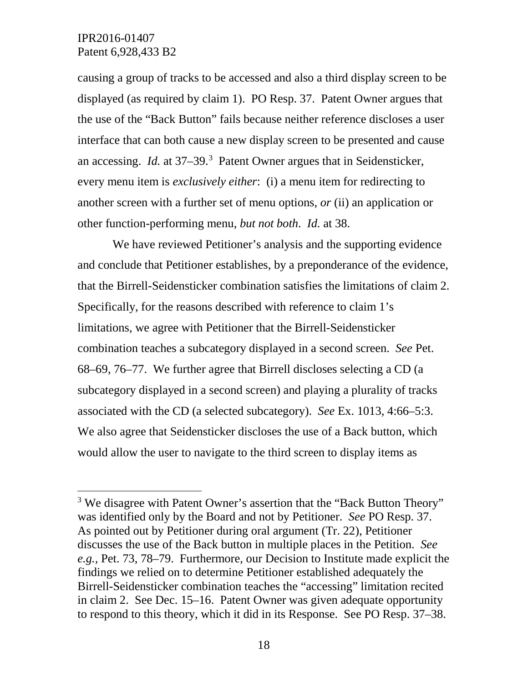causing a group of tracks to be accessed and also a third display screen to be displayed (as required by claim 1). PO Resp. 37.Patent Owner argues that the use of the "Back Button" fails because neither reference discloses a user interface that can both cause a new display screen to be presented and cause an accessing. *Id.* at 37–39.[3](#page-17-0) Patent Owner argues that in Seidensticker, every menu item is *exclusively either*: (i) a menu item for redirecting to another screen with a further set of menu options, *or* (ii) an application or other function-performing menu, *but not both*. *Id.* at 38.

We have reviewed Petitioner's analysis and the supporting evidence and conclude that Petitioner establishes, by a preponderance of the evidence, that the Birrell-Seidensticker combination satisfies the limitations of claim 2. Specifically, for the reasons described with reference to claim 1's limitations, we agree with Petitioner that the Birrell-Seidensticker combination teaches a subcategory displayed in a second screen. *See* Pet. 68–69, 76–77. We further agree that Birrell discloses selecting a CD (a subcategory displayed in a second screen) and playing a plurality of tracks associated with the CD (a selected subcategory). *See* Ex. 1013, 4:66–5:3. We also agree that Seidensticker discloses the use of a Back button, which would allow the user to navigate to the third screen to display items as

<span id="page-17-0"></span><sup>&</sup>lt;sup>3</sup> We disagree with Patent Owner's assertion that the "Back Button Theory" was identified only by the Board and not by Petitioner. *See* PO Resp. 37. As pointed out by Petitioner during oral argument (Tr. 22), Petitioner discusses the use of the Back button in multiple places in the Petition. *See e.g.,* Pet. 73, 78–79. Furthermore, our Decision to Institute made explicit the findings we relied on to determine Petitioner established adequately the Birrell-Seidensticker combination teaches the "accessing" limitation recited in claim 2. See Dec. 15–16. Patent Owner was given adequate opportunity to respond to this theory, which it did in its Response. See PO Resp. 37–38.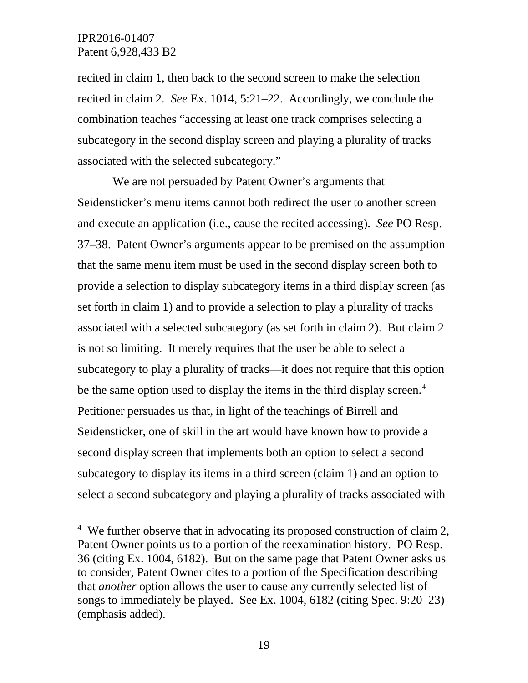recited in claim 1, then back to the second screen to make the selection recited in claim 2. *See* Ex. 1014, 5:21–22. Accordingly, we conclude the combination teaches "accessing at least one track comprises selecting a subcategory in the second display screen and playing a plurality of tracks associated with the selected subcategory."

We are not persuaded by Patent Owner's arguments that Seidensticker's menu items cannot both redirect the user to another screen and execute an application (i.e., cause the recited accessing). *See* PO Resp. 37–38. Patent Owner's arguments appear to be premised on the assumption that the same menu item must be used in the second display screen both to provide a selection to display subcategory items in a third display screen (as set forth in claim 1) and to provide a selection to play a plurality of tracks associated with a selected subcategory (as set forth in claim 2). But claim 2 is not so limiting. It merely requires that the user be able to select a subcategory to play a plurality of tracks—it does not require that this option be the same option used to display the items in the third display screen.<sup>4</sup> Petitioner persuades us that, in light of the teachings of Birrell and Seidensticker, one of skill in the art would have known how to provide a second display screen that implements both an option to select a second subcategory to display its items in a third screen (claim 1) and an option to select a second subcategory and playing a plurality of tracks associated with

<span id="page-18-0"></span> <sup>4</sup> We further observe that in advocating its proposed construction of claim 2, Patent Owner points us to a portion of the reexamination history. PO Resp. 36 (citing Ex. 1004, 6182). But on the same page that Patent Owner asks us to consider, Patent Owner cites to a portion of the Specification describing that *another* option allows the user to cause any currently selected list of songs to immediately be played. See Ex. 1004, 6182 (citing Spec. 9:20–23) (emphasis added).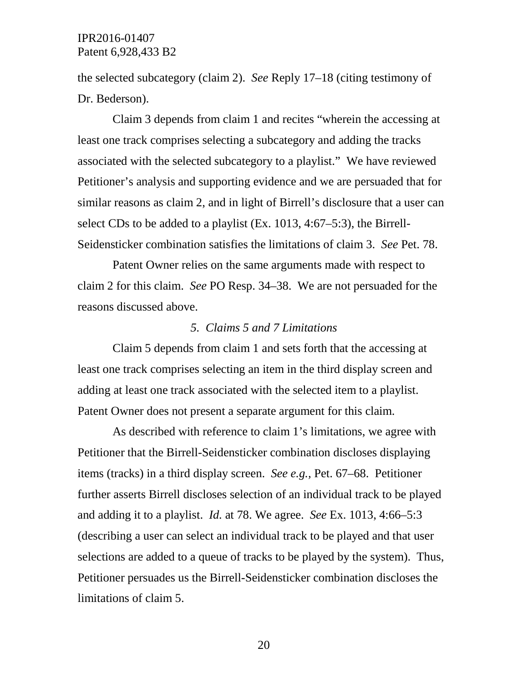the selected subcategory (claim 2). *See* Reply 17–18 (citing testimony of Dr. Bederson).

Claim 3 depends from claim 1 and recites "wherein the accessing at least one track comprises selecting a subcategory and adding the tracks associated with the selected subcategory to a playlist." We have reviewed Petitioner's analysis and supporting evidence and we are persuaded that for similar reasons as claim 2, and in light of Birrell's disclosure that a user can select CDs to be added to a playlist (Ex. 1013, 4:67–5:3), the Birrell-Seidensticker combination satisfies the limitations of claim 3. *See* Pet. 78.

Patent Owner relies on the same arguments made with respect to claim 2 for this claim. *See* PO Resp. 34–38. We are not persuaded for the reasons discussed above.

#### *5. Claims 5 and 7 Limitations*

Claim 5 depends from claim 1 and sets forth that the accessing at least one track comprises selecting an item in the third display screen and adding at least one track associated with the selected item to a playlist. Patent Owner does not present a separate argument for this claim.

As described with reference to claim 1's limitations, we agree with Petitioner that the Birrell-Seidensticker combination discloses displaying items (tracks) in a third display screen. *See e.g.,* Pet. 67–68. Petitioner further asserts Birrell discloses selection of an individual track to be played and adding it to a playlist. *Id.* at 78. We agree. *See* Ex. 1013, 4:66–5:3 (describing a user can select an individual track to be played and that user selections are added to a queue of tracks to be played by the system). Thus, Petitioner persuades us the Birrell-Seidensticker combination discloses the limitations of claim 5.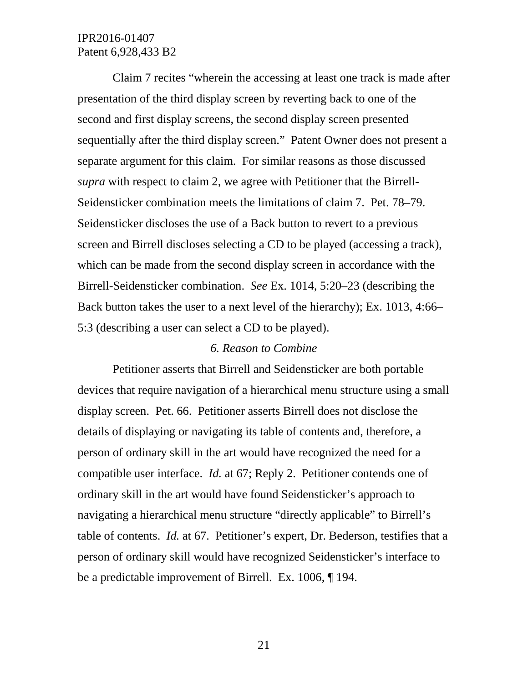Claim 7 recites "wherein the accessing at least one track is made after presentation of the third display screen by reverting back to one of the second and first display screens, the second display screen presented sequentially after the third display screen." Patent Owner does not present a separate argument for this claim. For similar reasons as those discussed *supra* with respect to claim 2, we agree with Petitioner that the Birrell-Seidensticker combination meets the limitations of claim 7. Pet. 78–79. Seidensticker discloses the use of a Back button to revert to a previous screen and Birrell discloses selecting a CD to be played (accessing a track), which can be made from the second display screen in accordance with the Birrell-Seidensticker combination. *See* Ex. 1014, 5:20–23 (describing the Back button takes the user to a next level of the hierarchy); Ex. 1013, 4:66– 5:3 (describing a user can select a CD to be played).

#### *6. Reason to Combine*

Petitioner asserts that Birrell and Seidensticker are both portable devices that require navigation of a hierarchical menu structure using a small display screen. Pet. 66. Petitioner asserts Birrell does not disclose the details of displaying or navigating its table of contents and, therefore, a person of ordinary skill in the art would have recognized the need for a compatible user interface. *Id.* at 67; Reply 2. Petitioner contends one of ordinary skill in the art would have found Seidensticker's approach to navigating a hierarchical menu structure "directly applicable" to Birrell's table of contents. *Id.* at 67. Petitioner's expert, Dr. Bederson, testifies that a person of ordinary skill would have recognized Seidensticker's interface to be a predictable improvement of Birrell. Ex. 1006, ¶ 194.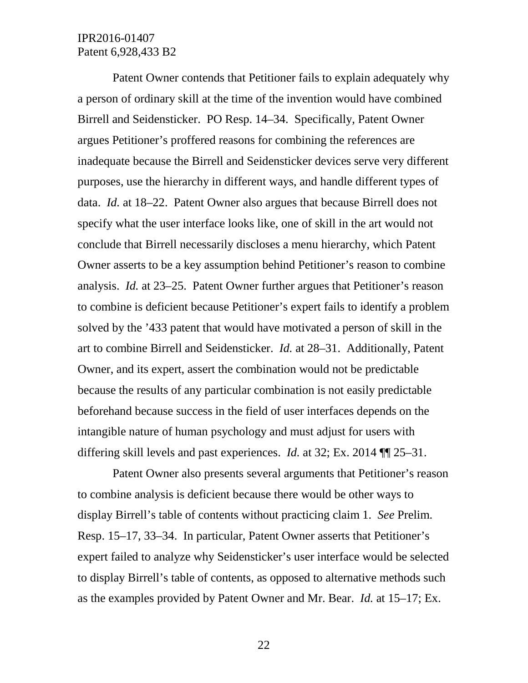Patent Owner contends that Petitioner fails to explain adequately why a person of ordinary skill at the time of the invention would have combined Birrell and Seidensticker. PO Resp. 14–34. Specifically, Patent Owner argues Petitioner's proffered reasons for combining the references are inadequate because the Birrell and Seidensticker devices serve very different purposes, use the hierarchy in different ways, and handle different types of data. *Id.* at 18–22. Patent Owner also argues that because Birrell does not specify what the user interface looks like, one of skill in the art would not conclude that Birrell necessarily discloses a menu hierarchy, which Patent Owner asserts to be a key assumption behind Petitioner's reason to combine analysis. *Id.* at 23–25. Patent Owner further argues that Petitioner's reason to combine is deficient because Petitioner's expert fails to identify a problem solved by the '433 patent that would have motivated a person of skill in the art to combine Birrell and Seidensticker. *Id.* at 28–31. Additionally, Patent Owner, and its expert, assert the combination would not be predictable because the results of any particular combination is not easily predictable beforehand because success in the field of user interfaces depends on the intangible nature of human psychology and must adjust for users with differing skill levels and past experiences. *Id.* at 32; Ex. 2014 ¶¶ 25–31.

Patent Owner also presents several arguments that Petitioner's reason to combine analysis is deficient because there would be other ways to display Birrell's table of contents without practicing claim 1. *See* Prelim. Resp. 15–17, 33–34. In particular, Patent Owner asserts that Petitioner's expert failed to analyze why Seidensticker's user interface would be selected to display Birrell's table of contents, as opposed to alternative methods such as the examples provided by Patent Owner and Mr. Bear. *Id.* at 15–17; Ex.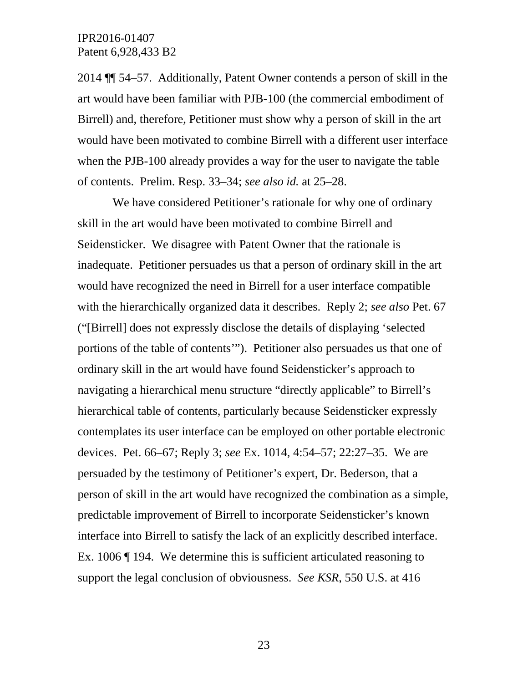2014 ¶¶ 54–57. Additionally, Patent Owner contends a person of skill in the art would have been familiar with PJB-100 (the commercial embodiment of Birrell) and, therefore, Petitioner must show why a person of skill in the art would have been motivated to combine Birrell with a different user interface when the PJB-100 already provides a way for the user to navigate the table of contents. Prelim. Resp. 33–34; *see also id.* at 25–28.

We have considered Petitioner's rationale for why one of ordinary skill in the art would have been motivated to combine Birrell and Seidensticker. We disagree with Patent Owner that the rationale is inadequate. Petitioner persuades us that a person of ordinary skill in the art would have recognized the need in Birrell for a user interface compatible with the hierarchically organized data it describes. Reply 2; *see also* Pet. 67 ("[Birrell] does not expressly disclose the details of displaying 'selected portions of the table of contents'"). Petitioner also persuades us that one of ordinary skill in the art would have found Seidensticker's approach to navigating a hierarchical menu structure "directly applicable" to Birrell's hierarchical table of contents, particularly because Seidensticker expressly contemplates its user interface can be employed on other portable electronic devices. Pet. 66–67; Reply 3; *see* Ex. 1014, 4:54–57; 22:27–35. We are persuaded by the testimony of Petitioner's expert, Dr. Bederson, that a person of skill in the art would have recognized the combination as a simple, predictable improvement of Birrell to incorporate Seidensticker's known interface into Birrell to satisfy the lack of an explicitly described interface. Ex. 1006 ¶ 194. We determine this is sufficient articulated reasoning to support the legal conclusion of obviousness. *See KSR*, 550 U.S. at 416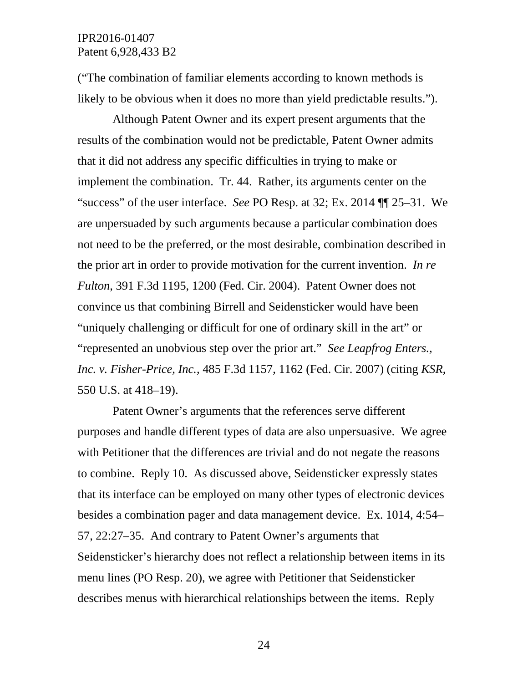("The combination of familiar elements according to known methods is likely to be obvious when it does no more than yield predictable results.").

Although Patent Owner and its expert present arguments that the results of the combination would not be predictable, Patent Owner admits that it did not address any specific difficulties in trying to make or implement the combination. Tr. 44. Rather, its arguments center on the "success" of the user interface. *See* PO Resp. at 32; Ex. 2014 ¶¶ 25–31. We are unpersuaded by such arguments because a particular combination does not need to be the preferred, or the most desirable, combination described in the prior art in order to provide motivation for the current invention. *In re Fulton*, 391 F.3d 1195, 1200 (Fed. Cir. 2004). Patent Owner does not convince us that combining Birrell and Seidensticker would have been "uniquely challenging or difficult for one of ordinary skill in the art" or "represented an unobvious step over the prior art." *See Leapfrog Enters., Inc. v. Fisher-Price, Inc.,* 485 F.3d 1157, 1162 (Fed. Cir. 2007) (citing *KSR*, 550 U.S. at 418–19).

Patent Owner's arguments that the references serve different purposes and handle different types of data are also unpersuasive. We agree with Petitioner that the differences are trivial and do not negate the reasons to combine. Reply 10. As discussed above, Seidensticker expressly states that its interface can be employed on many other types of electronic devices besides a combination pager and data management device. Ex. 1014, 4:54– 57, 22:27–35. And contrary to Patent Owner's arguments that Seidensticker's hierarchy does not reflect a relationship between items in its menu lines (PO Resp. 20), we agree with Petitioner that Seidensticker describes menus with hierarchical relationships between the items. Reply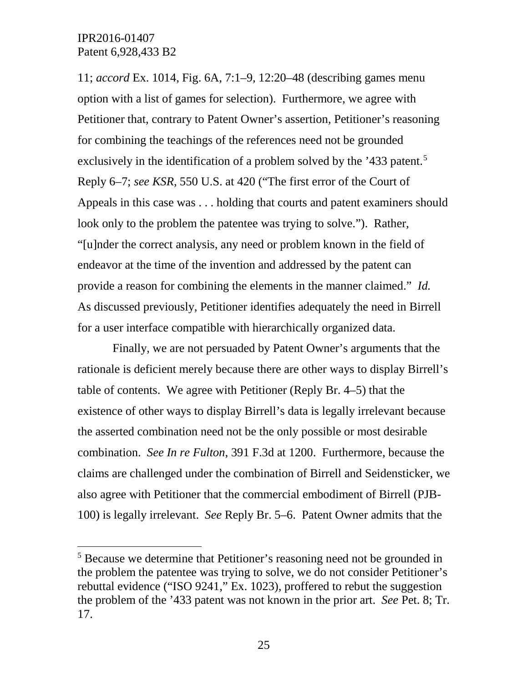11; *accord* Ex. 1014, Fig. 6A, 7:1–9, 12:20–48 (describing games menu option with a list of games for selection). Furthermore, we agree with Petitioner that, contrary to Patent Owner's assertion, Petitioner's reasoning for combining the teachings of the references need not be grounded exclusively in the identification of a problem solved by the '433 patent.<sup>[5](#page-24-0)</sup> Reply 6–7; *see KSR*, 550 U.S. at 420 ("The first error of the Court of Appeals in this case was . . . holding that courts and patent examiners should look only to the problem the patentee was trying to solve."). Rather, "[u]nder the correct analysis, any need or problem known in the field of endeavor at the time of the invention and addressed by the patent can provide a reason for combining the elements in the manner claimed." *Id.*  As discussed previously, Petitioner identifies adequately the need in Birrell for a user interface compatible with hierarchically organized data.

Finally, we are not persuaded by Patent Owner's arguments that the rationale is deficient merely because there are other ways to display Birrell's table of contents. We agree with Petitioner (Reply Br. 4–5) that the existence of other ways to display Birrell's data is legally irrelevant because the asserted combination need not be the only possible or most desirable combination. *See In re Fulton*, 391 F.3d at 1200. Furthermore, because the claims are challenged under the combination of Birrell and Seidensticker, we also agree with Petitioner that the commercial embodiment of Birrell (PJB-100) is legally irrelevant. *See* Reply Br. 5–6. Patent Owner admits that the

<span id="page-24-0"></span><sup>&</sup>lt;sup>5</sup> Because we determine that Petitioner's reasoning need not be grounded in the problem the patentee was trying to solve, we do not consider Petitioner's rebuttal evidence ("ISO 9241," Ex. 1023), proffered to rebut the suggestion the problem of the '433 patent was not known in the prior art. *See* Pet. 8; Tr. 17.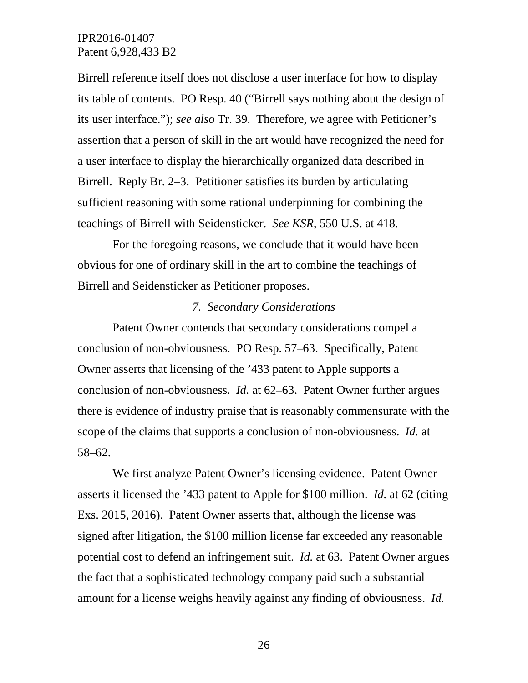Birrell reference itself does not disclose a user interface for how to display its table of contents. PO Resp. 40 ("Birrell says nothing about the design of its user interface."); *see also* Tr. 39. Therefore, we agree with Petitioner's assertion that a person of skill in the art would have recognized the need for a user interface to display the hierarchically organized data described in Birrell. Reply Br. 2–3. Petitioner satisfies its burden by articulating sufficient reasoning with some rational underpinning for combining the teachings of Birrell with Seidensticker. *See KSR*, 550 U.S. at 418.

For the foregoing reasons, we conclude that it would have been obvious for one of ordinary skill in the art to combine the teachings of Birrell and Seidensticker as Petitioner proposes.

#### *7. Secondary Considerations*

Patent Owner contends that secondary considerations compel a conclusion of non-obviousness. PO Resp. 57–63. Specifically, Patent Owner asserts that licensing of the '433 patent to Apple supports a conclusion of non-obviousness. *Id.* at 62–63. Patent Owner further argues there is evidence of industry praise that is reasonably commensurate with the scope of the claims that supports a conclusion of non-obviousness. *Id.* at 58–62.

We first analyze Patent Owner's licensing evidence. Patent Owner asserts it licensed the '433 patent to Apple for \$100 million. *Id.* at 62 (citing Exs. 2015, 2016). Patent Owner asserts that, although the license was signed after litigation, the \$100 million license far exceeded any reasonable potential cost to defend an infringement suit. *Id.* at 63. Patent Owner argues the fact that a sophisticated technology company paid such a substantial amount for a license weighs heavily against any finding of obviousness. *Id.*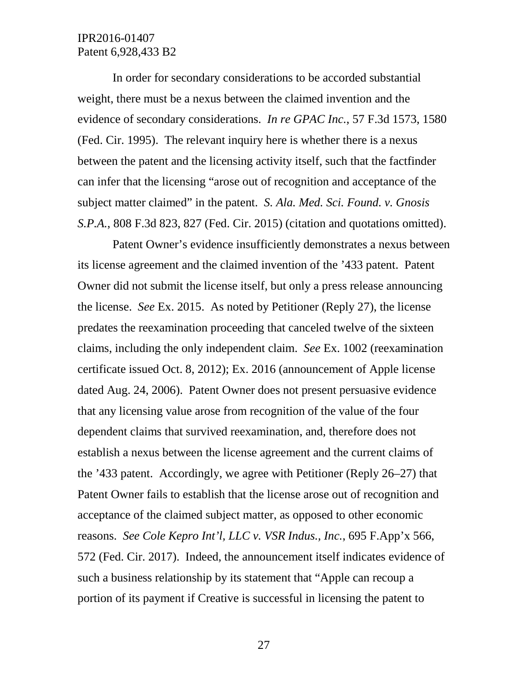In order for secondary considerations to be accorded substantial weight, there must be a nexus between the claimed invention and the evidence of secondary considerations. *In re GPAC Inc.*, 57 F.3d 1573, 1580 (Fed. Cir. 1995). The relevant inquiry here is whether there is a nexus between the patent and the licensing activity itself, such that the factfinder can infer that the licensing "arose out of recognition and acceptance of the subject matter claimed" in the patent. *S. Ala. Med. Sci. Found. v. Gnosis S.P.A.*, 808 F.3d 823, 827 (Fed. Cir. 2015) (citation and quotations omitted).

Patent Owner's evidence insufficiently demonstrates a nexus between its license agreement and the claimed invention of the '433 patent. Patent Owner did not submit the license itself, but only a press release announcing the license. *See* Ex. 2015. As noted by Petitioner (Reply 27), the license predates the reexamination proceeding that canceled twelve of the sixteen claims, including the only independent claim. *See* Ex. 1002 (reexamination certificate issued Oct. 8, 2012); Ex. 2016 (announcement of Apple license dated Aug. 24, 2006). Patent Owner does not present persuasive evidence that any licensing value arose from recognition of the value of the four dependent claims that survived reexamination, and, therefore does not establish a nexus between the license agreement and the current claims of the '433 patent. Accordingly, we agree with Petitioner (Reply 26–27) that Patent Owner fails to establish that the license arose out of recognition and acceptance of the claimed subject matter, as opposed to other economic reasons. *See Cole Kepro Int'l, LLC v. VSR Indus., Inc.*, 695 F.App'x 566, 572 (Fed. Cir. 2017).Indeed, the announcement itself indicates evidence of such a business relationship by its statement that "Apple can recoup a portion of its payment if Creative is successful in licensing the patent to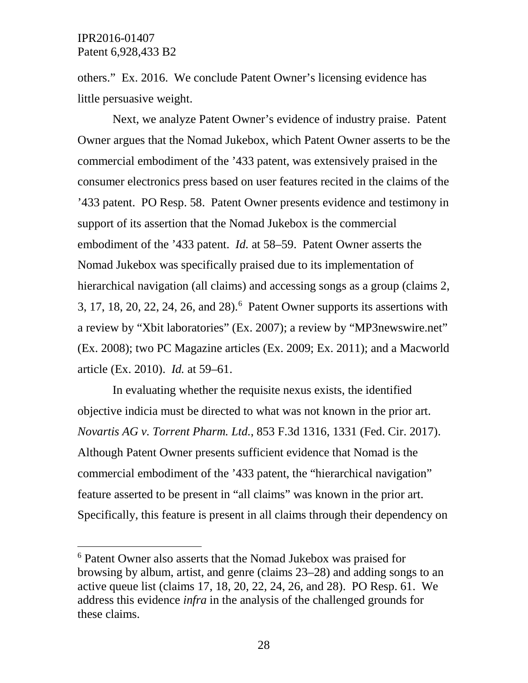others." Ex. 2016. We conclude Patent Owner's licensing evidence has little persuasive weight.

Next, we analyze Patent Owner's evidence of industry praise. Patent Owner argues that the Nomad Jukebox, which Patent Owner asserts to be the commercial embodiment of the '433 patent, was extensively praised in the consumer electronics press based on user features recited in the claims of the '433 patent. PO Resp. 58. Patent Owner presents evidence and testimony in support of its assertion that the Nomad Jukebox is the commercial embodiment of the '433 patent. *Id.* at 58–59. Patent Owner asserts the Nomad Jukebox was specifically praised due to its implementation of hierarchical navigation (all claims) and accessing songs as a group (claims 2, 3, 17, 18, 20, 22, 24, 26, and 28).<sup>6</sup> Patent Owner supports its assertions with a review by "Xbit laboratories" (Ex. 2007); a review by "MP3newswire.net" (Ex. 2008); two PC Magazine articles (Ex. 2009; Ex. 2011); and a Macworld article (Ex. 2010). *Id.* at 59–61.

In evaluating whether the requisite nexus exists, the identified objective indicia must be directed to what was not known in the prior art. *Novartis AG v. Torrent Pharm. Ltd.*, 853 F.3d 1316, 1331 (Fed. Cir. 2017). Although Patent Owner presents sufficient evidence that Nomad is the commercial embodiment of the '433 patent, the "hierarchical navigation" feature asserted to be present in "all claims" was known in the prior art. Specifically, this feature is present in all claims through their dependency on

<span id="page-27-0"></span> <sup>6</sup> Patent Owner also asserts that the Nomad Jukebox was praised for browsing by album, artist, and genre (claims 23–28) and adding songs to an active queue list (claims 17, 18, 20, 22, 24, 26, and 28). PO Resp. 61. We address this evidence *infra* in the analysis of the challenged grounds for these claims.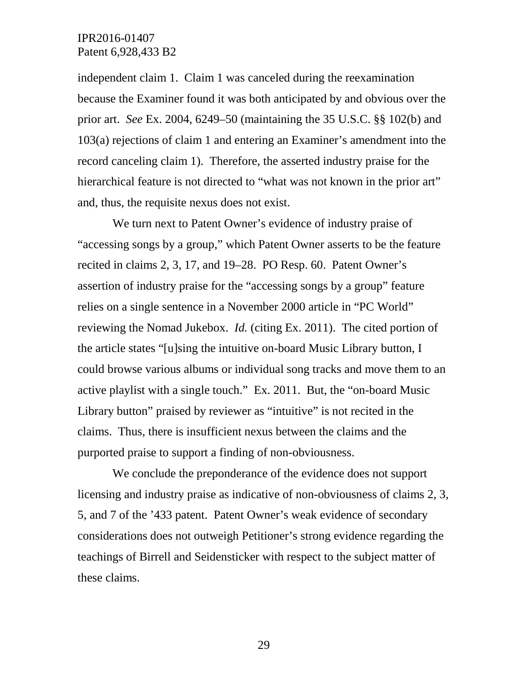independent claim 1. Claim 1 was canceled during the reexamination because the Examiner found it was both anticipated by and obvious over the prior art. *See* Ex. 2004, 6249–50 (maintaining the 35 U.S.C. §§ 102(b) and 103(a) rejections of claim 1 and entering an Examiner's amendment into the record canceling claim 1). Therefore, the asserted industry praise for the hierarchical feature is not directed to "what was not known in the prior art" and, thus, the requisite nexus does not exist.

We turn next to Patent Owner's evidence of industry praise of "accessing songs by a group," which Patent Owner asserts to be the feature recited in claims 2, 3, 17, and 19–28. PO Resp. 60. Patent Owner's assertion of industry praise for the "accessing songs by a group" feature relies on a single sentence in a November 2000 article in "PC World" reviewing the Nomad Jukebox. *Id.* (citing Ex. 2011). The cited portion of the article states "[u]sing the intuitive on-board Music Library button, I could browse various albums or individual song tracks and move them to an active playlist with a single touch." Ex. 2011. But, the "on-board Music Library button" praised by reviewer as "intuitive" is not recited in the claims. Thus, there is insufficient nexus between the claims and the purported praise to support a finding of non-obviousness.

We conclude the preponderance of the evidence does not support licensing and industry praise as indicative of non-obviousness of claims 2, 3, 5, and 7 of the '433 patent. Patent Owner's weak evidence of secondary considerations does not outweigh Petitioner's strong evidence regarding the teachings of Birrell and Seidensticker with respect to the subject matter of these claims.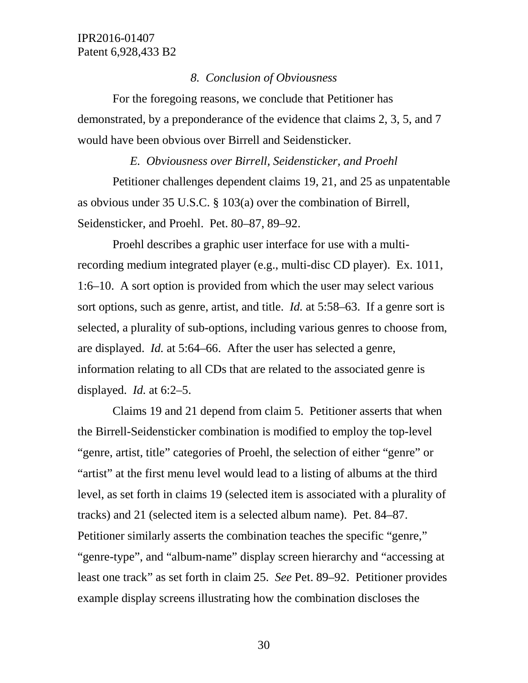#### *8. Conclusion of Obviousness*

For the foregoing reasons, we conclude that Petitioner has demonstrated, by a preponderance of the evidence that claims 2, 3, 5, and 7 would have been obvious over Birrell and Seidensticker.

#### *E. Obviousness over Birrell, Seidensticker, and Proehl*

Petitioner challenges dependent claims 19, 21, and 25 as unpatentable as obvious under 35 U.S.C. § 103(a) over the combination of Birrell, Seidensticker, and Proehl. Pet. 80–87, 89–92.

Proehl describes a graphic user interface for use with a multirecording medium integrated player (e.g., multi-disc CD player). Ex. 1011, 1:6–10. A sort option is provided from which the user may select various sort options, such as genre, artist, and title. *Id.* at 5:58–63. If a genre sort is selected, a plurality of sub-options, including various genres to choose from, are displayed. *Id.* at 5:64–66. After the user has selected a genre, information relating to all CDs that are related to the associated genre is displayed. *Id.* at 6:2–5.

Claims 19 and 21 depend from claim 5. Petitioner asserts that when the Birrell-Seidensticker combination is modified to employ the top-level "genre, artist, title" categories of Proehl, the selection of either "genre" or "artist" at the first menu level would lead to a listing of albums at the third level, as set forth in claims 19 (selected item is associated with a plurality of tracks) and 21 (selected item is a selected album name). Pet. 84–87. Petitioner similarly asserts the combination teaches the specific "genre," "genre-type", and "album-name" display screen hierarchy and "accessing at least one track" as set forth in claim 25. *See* Pet. 89–92. Petitioner provides example display screens illustrating how the combination discloses the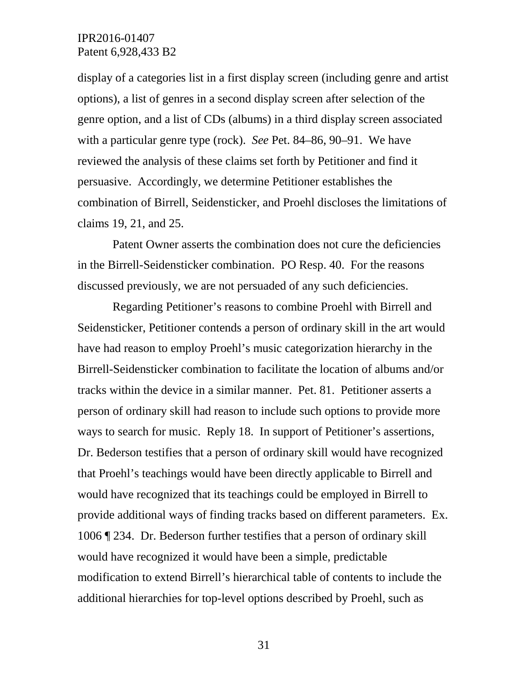display of a categories list in a first display screen (including genre and artist options), a list of genres in a second display screen after selection of the genre option, and a list of CDs (albums) in a third display screen associated with a particular genre type (rock). *See* Pet. 84–86, 90–91. We have reviewed the analysis of these claims set forth by Petitioner and find it persuasive. Accordingly, we determine Petitioner establishes the combination of Birrell, Seidensticker, and Proehl discloses the limitations of claims 19, 21, and 25.

Patent Owner asserts the combination does not cure the deficiencies in the Birrell-Seidensticker combination. PO Resp. 40. For the reasons discussed previously, we are not persuaded of any such deficiencies.

Regarding Petitioner's reasons to combine Proehl with Birrell and Seidensticker, Petitioner contends a person of ordinary skill in the art would have had reason to employ Proehl's music categorization hierarchy in the Birrell-Seidensticker combination to facilitate the location of albums and/or tracks within the device in a similar manner. Pet. 81. Petitioner asserts a person of ordinary skill had reason to include such options to provide more ways to search for music. Reply 18. In support of Petitioner's assertions, Dr. Bederson testifies that a person of ordinary skill would have recognized that Proehl's teachings would have been directly applicable to Birrell and would have recognized that its teachings could be employed in Birrell to provide additional ways of finding tracks based on different parameters. Ex. 1006 ¶ 234. Dr. Bederson further testifies that a person of ordinary skill would have recognized it would have been a simple, predictable modification to extend Birrell's hierarchical table of contents to include the additional hierarchies for top-level options described by Proehl, such as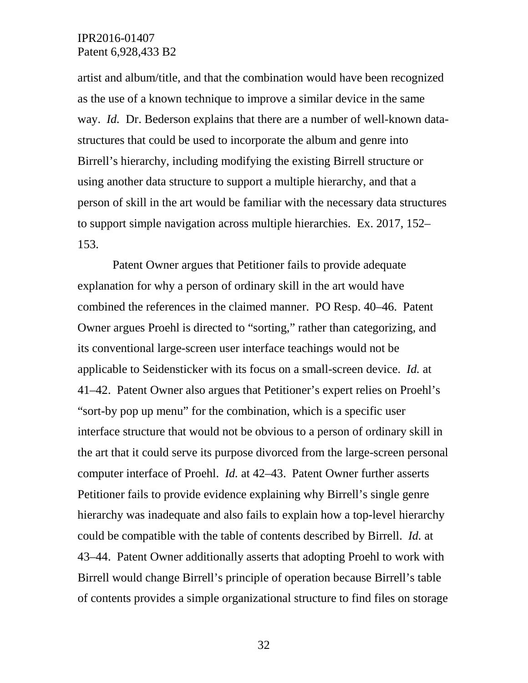artist and album/title, and that the combination would have been recognized as the use of a known technique to improve a similar device in the same way. *Id.* Dr. Bederson explains that there are a number of well-known datastructures that could be used to incorporate the album and genre into Birrell's hierarchy, including modifying the existing Birrell structure or using another data structure to support a multiple hierarchy, and that a person of skill in the art would be familiar with the necessary data structures to support simple navigation across multiple hierarchies. Ex. 2017, 152– 153.

Patent Owner argues that Petitioner fails to provide adequate explanation for why a person of ordinary skill in the art would have combined the references in the claimed manner. PO Resp. 40–46. Patent Owner argues Proehl is directed to "sorting," rather than categorizing, and its conventional large-screen user interface teachings would not be applicable to Seidensticker with its focus on a small-screen device. *Id.* at 41–42. Patent Owner also argues that Petitioner's expert relies on Proehl's "sort-by pop up menu" for the combination, which is a specific user interface structure that would not be obvious to a person of ordinary skill in the art that it could serve its purpose divorced from the large-screen personal computer interface of Proehl. *Id.* at 42–43. Patent Owner further asserts Petitioner fails to provide evidence explaining why Birrell's single genre hierarchy was inadequate and also fails to explain how a top-level hierarchy could be compatible with the table of contents described by Birrell. *Id.* at 43–44. Patent Owner additionally asserts that adopting Proehl to work with Birrell would change Birrell's principle of operation because Birrell's table of contents provides a simple organizational structure to find files on storage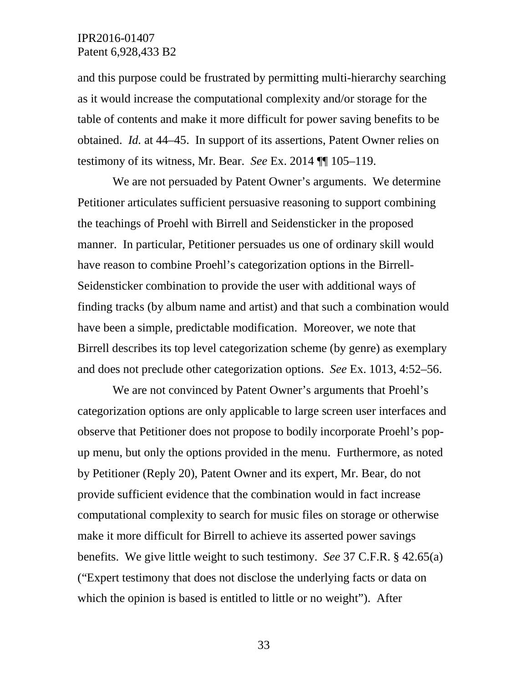and this purpose could be frustrated by permitting multi-hierarchy searching as it would increase the computational complexity and/or storage for the table of contents and make it more difficult for power saving benefits to be obtained. *Id.* at 44–45. In support of its assertions, Patent Owner relies on testimony of its witness, Mr. Bear. *See* Ex. 2014 ¶¶ 105–119.

We are not persuaded by Patent Owner's arguments. We determine Petitioner articulates sufficient persuasive reasoning to support combining the teachings of Proehl with Birrell and Seidensticker in the proposed manner. In particular, Petitioner persuades us one of ordinary skill would have reason to combine Proehl's categorization options in the Birrell-Seidensticker combination to provide the user with additional ways of finding tracks (by album name and artist) and that such a combination would have been a simple, predictable modification. Moreover, we note that Birrell describes its top level categorization scheme (by genre) as exemplary and does not preclude other categorization options. *See* Ex. 1013, 4:52–56.

We are not convinced by Patent Owner's arguments that Proehl's categorization options are only applicable to large screen user interfaces and observe that Petitioner does not propose to bodily incorporate Proehl's popup menu, but only the options provided in the menu. Furthermore, as noted by Petitioner (Reply 20), Patent Owner and its expert, Mr. Bear, do not provide sufficient evidence that the combination would in fact increase computational complexity to search for music files on storage or otherwise make it more difficult for Birrell to achieve its asserted power savings benefits. We give little weight to such testimony. *See* 37 C.F.R. § 42.65(a) ("Expert testimony that does not disclose the underlying facts or data on which the opinion is based is entitled to little or no weight"). After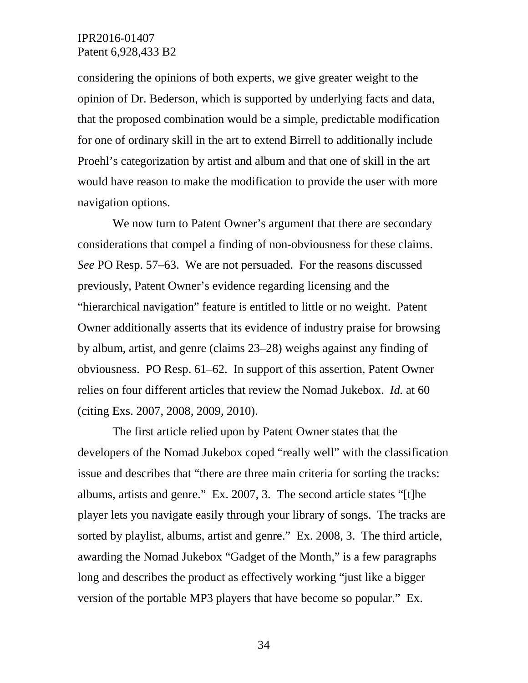considering the opinions of both experts, we give greater weight to the opinion of Dr. Bederson, which is supported by underlying facts and data, that the proposed combination would be a simple, predictable modification for one of ordinary skill in the art to extend Birrell to additionally include Proehl's categorization by artist and album and that one of skill in the art would have reason to make the modification to provide the user with more navigation options.

We now turn to Patent Owner's argument that there are secondary considerations that compel a finding of non-obviousness for these claims. *See* PO Resp. 57–63. We are not persuaded. For the reasons discussed previously, Patent Owner's evidence regarding licensing and the "hierarchical navigation" feature is entitled to little or no weight. Patent Owner additionally asserts that its evidence of industry praise for browsing by album, artist, and genre (claims 23–28) weighs against any finding of obviousness. PO Resp. 61–62. In support of this assertion, Patent Owner relies on four different articles that review the Nomad Jukebox. *Id.* at 60 (citing Exs. 2007, 2008, 2009, 2010).

The first article relied upon by Patent Owner states that the developers of the Nomad Jukebox coped "really well" with the classification issue and describes that "there are three main criteria for sorting the tracks: albums, artists and genre." Ex. 2007, 3. The second article states "[t]he player lets you navigate easily through your library of songs. The tracks are sorted by playlist, albums, artist and genre." Ex. 2008, 3. The third article, awarding the Nomad Jukebox "Gadget of the Month," is a few paragraphs long and describes the product as effectively working "just like a bigger version of the portable MP3 players that have become so popular." Ex.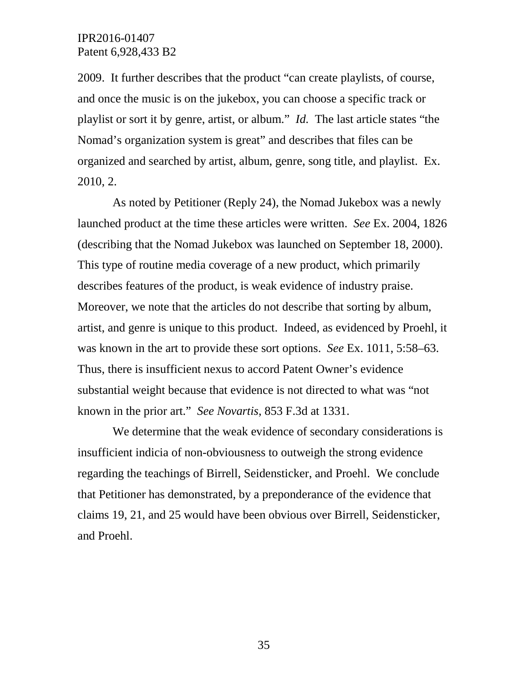2009. It further describes that the product "can create playlists, of course, and once the music is on the jukebox, you can choose a specific track or playlist or sort it by genre, artist, or album." *Id.* The last article states "the Nomad's organization system is great" and describes that files can be organized and searched by artist, album, genre, song title, and playlist. Ex. 2010, 2.

As noted by Petitioner (Reply 24), the Nomad Jukebox was a newly launched product at the time these articles were written. *See* Ex. 2004, 1826 (describing that the Nomad Jukebox was launched on September 18, 2000). This type of routine media coverage of a new product, which primarily describes features of the product, is weak evidence of industry praise. Moreover, we note that the articles do not describe that sorting by album, artist, and genre is unique to this product. Indeed, as evidenced by Proehl, it was known in the art to provide these sort options. *See* Ex. 1011, 5:58–63. Thus, there is insufficient nexus to accord Patent Owner's evidence substantial weight because that evidence is not directed to what was "not known in the prior art." *See Novartis*, 853 F.3d at 1331.

We determine that the weak evidence of secondary considerations is insufficient indicia of non-obviousness to outweigh the strong evidence regarding the teachings of Birrell, Seidensticker, and Proehl. We conclude that Petitioner has demonstrated, by a preponderance of the evidence that claims 19, 21, and 25 would have been obvious over Birrell, Seidensticker, and Proehl.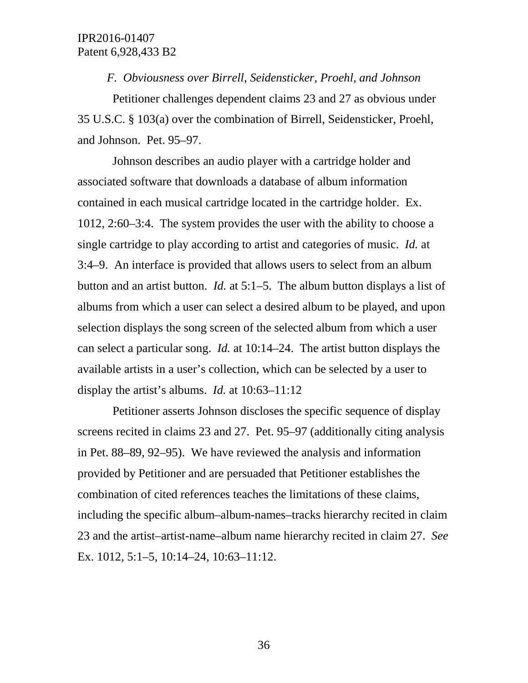*F. Obviousness over Birrell, Seidensticker, Proehl, and Johnson*

Petitioner challenges dependent claims 23 and 27 as obvious under 35 U.S.C. § 103(a) over the combination of Birrell, Seidensticker, Proehl, and Johnson. Pet. 95–97.

Johnson describes an audio player with a cartridge holder and associated software that downloads a database of album information contained in each musical cartridge located in the cartridge holder. Ex. 1012, 2:60–3:4. The system provides the user with the ability to choose a single cartridge to play according to artist and categories of music. *Id.* at 3:4–9. An interface is provided that allows users to select from an album button and an artist button. *Id.* at 5:1–5. The album button displays a list of albums from which a user can select a desired album to be played, and upon selection displays the song screen of the selected album from which a user can select a particular song. *Id.* at 10:14–24. The artist button displays the available artists in a user's collection, which can be selected by a user to display the artist's albums. *Id.* at 10:63–11:12

Petitioner asserts Johnson discloses the specific sequence of display screens recited in claims 23 and 27. Pet. 95–97 (additionally citing analysis in Pet. 88–89, 92–95). We have reviewed the analysis and information provided by Petitioner and are persuaded that Petitioner establishes the combination of cited references teaches the limitations of these claims, including the specific album–album-names–tracks hierarchy recited in claim 23 and the artist–artist-name–album name hierarchy recited in claim 27. *See*  Ex. 1012, 5:1–5, 10:14–24, 10:63–11:12.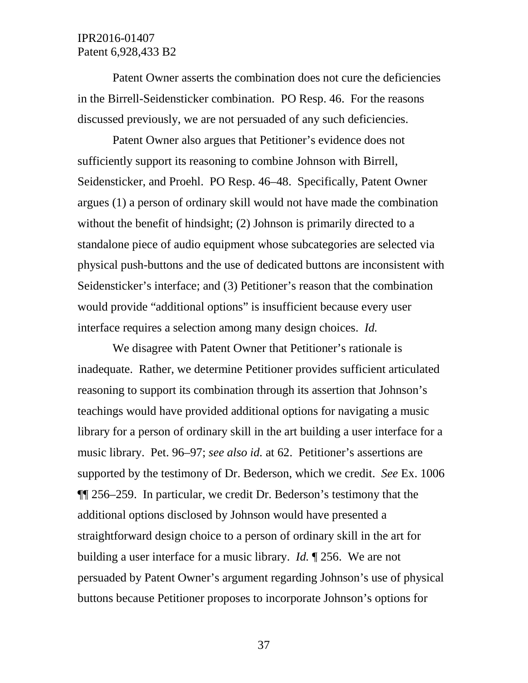Patent Owner asserts the combination does not cure the deficiencies in the Birrell-Seidensticker combination. PO Resp. 46. For the reasons discussed previously, we are not persuaded of any such deficiencies.

Patent Owner also argues that Petitioner's evidence does not sufficiently support its reasoning to combine Johnson with Birrell, Seidensticker, and Proehl. PO Resp. 46–48. Specifically, Patent Owner argues (1) a person of ordinary skill would not have made the combination without the benefit of hindsight; (2) Johnson is primarily directed to a standalone piece of audio equipment whose subcategories are selected via physical push-buttons and the use of dedicated buttons are inconsistent with Seidensticker's interface; and (3) Petitioner's reason that the combination would provide "additional options" is insufficient because every user interface requires a selection among many design choices. *Id.*

We disagree with Patent Owner that Petitioner's rationale is inadequate. Rather, we determine Petitioner provides sufficient articulated reasoning to support its combination through its assertion that Johnson's teachings would have provided additional options for navigating a music library for a person of ordinary skill in the art building a user interface for a music library. Pet. 96–97; *see also id.* at 62. Petitioner's assertions are supported by the testimony of Dr. Bederson, which we credit. *See* Ex. 1006 ¶¶ 256–259. In particular, we credit Dr. Bederson's testimony that the additional options disclosed by Johnson would have presented a straightforward design choice to a person of ordinary skill in the art for building a user interface for a music library. *Id.* ¶ 256. We are not persuaded by Patent Owner's argument regarding Johnson's use of physical buttons because Petitioner proposes to incorporate Johnson's options for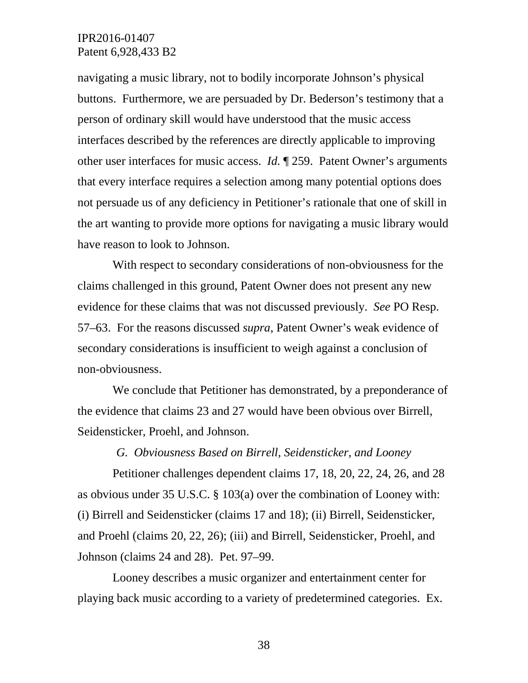navigating a music library, not to bodily incorporate Johnson's physical buttons. Furthermore, we are persuaded by Dr. Bederson's testimony that a person of ordinary skill would have understood that the music access interfaces described by the references are directly applicable to improving other user interfaces for music access. *Id.* ¶ 259. Patent Owner's arguments that every interface requires a selection among many potential options does not persuade us of any deficiency in Petitioner's rationale that one of skill in the art wanting to provide more options for navigating a music library would have reason to look to Johnson.

With respect to secondary considerations of non-obviousness for the claims challenged in this ground, Patent Owner does not present any new evidence for these claims that was not discussed previously. *See* PO Resp. 57–63. For the reasons discussed *supra*, Patent Owner's weak evidence of secondary considerations is insufficient to weigh against a conclusion of non-obviousness.

We conclude that Petitioner has demonstrated, by a preponderance of the evidence that claims 23 and 27 would have been obvious over Birrell, Seidensticker, Proehl, and Johnson.

#### *G. Obviousness Based on Birrell, Seidensticker, and Looney*

Petitioner challenges dependent claims 17, 18, 20, 22, 24, 26, and 28 as obvious under 35 U.S.C. § 103(a) over the combination of Looney with: (i) Birrell and Seidensticker (claims 17 and 18); (ii) Birrell, Seidensticker, and Proehl (claims 20, 22, 26); (iii) and Birrell, Seidensticker, Proehl, and Johnson (claims 24 and 28). Pet. 97–99.

Looney describes a music organizer and entertainment center for playing back music according to a variety of predetermined categories. Ex.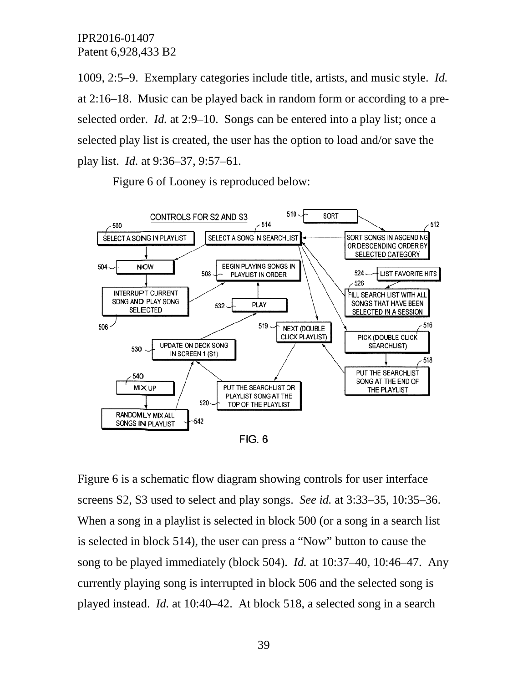1009, 2:5–9. Exemplary categories include title, artists, and music style. *Id.*  at 2:16–18. Music can be played back in random form or according to a preselected order. *Id.* at 2:9–10. Songs can be entered into a play list; once a selected play list is created, the user has the option to load and/or save the play list. *Id.* at 9:36–37, 9:57–61.

Figure 6 of Looney is reproduced below:



Figure 6 is a schematic flow diagram showing controls for user interface screens S2, S3 used to select and play songs. *See id.* at 3:33–35, 10:35–36. When a song in a playlist is selected in block 500 (or a song in a search list is selected in block 514), the user can press a "Now" button to cause the song to be played immediately (block 504). *Id.* at 10:37–40, 10:46–47. Any currently playing song is interrupted in block 506 and the selected song is played instead. *Id.* at 10:40–42. At block 518, a selected song in a search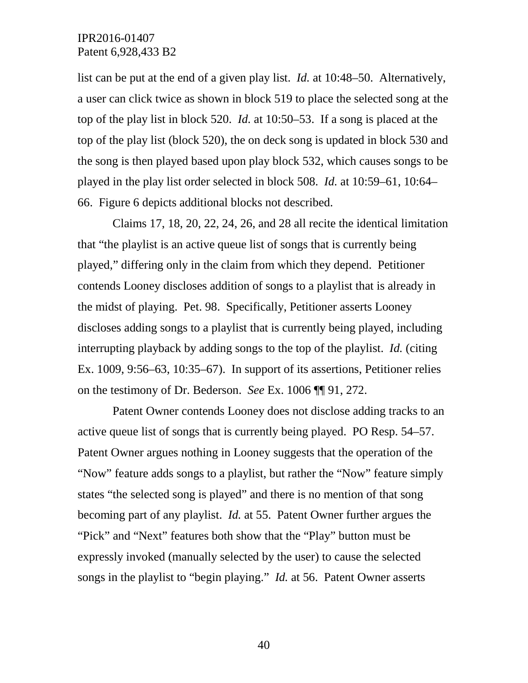list can be put at the end of a given play list. *Id.* at 10:48–50. Alternatively, a user can click twice as shown in block 519 to place the selected song at the top of the play list in block 520. *Id.* at 10:50–53. If a song is placed at the top of the play list (block 520), the on deck song is updated in block 530 and the song is then played based upon play block 532, which causes songs to be played in the play list order selected in block 508. *Id.* at 10:59–61, 10:64– 66. Figure 6 depicts additional blocks not described.

Claims 17, 18, 20, 22, 24, 26, and 28 all recite the identical limitation that "the playlist is an active queue list of songs that is currently being played," differing only in the claim from which they depend. Petitioner contends Looney discloses addition of songs to a playlist that is already in the midst of playing. Pet. 98. Specifically, Petitioner asserts Looney discloses adding songs to a playlist that is currently being played, including interrupting playback by adding songs to the top of the playlist. *Id.* (citing Ex. 1009, 9:56–63, 10:35–67). In support of its assertions, Petitioner relies on the testimony of Dr. Bederson. *See* Ex. 1006 ¶¶ 91, 272.

Patent Owner contends Looney does not disclose adding tracks to an active queue list of songs that is currently being played. PO Resp. 54–57. Patent Owner argues nothing in Looney suggests that the operation of the "Now" feature adds songs to a playlist, but rather the "Now" feature simply states "the selected song is played" and there is no mention of that song becoming part of any playlist. *Id.* at 55. Patent Owner further argues the "Pick" and "Next" features both show that the "Play" button must be expressly invoked (manually selected by the user) to cause the selected songs in the playlist to "begin playing." *Id.* at 56. Patent Owner asserts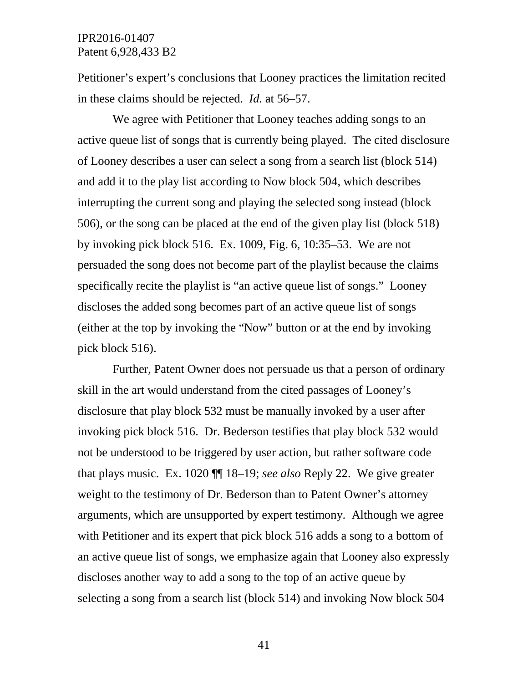Petitioner's expert's conclusions that Looney practices the limitation recited in these claims should be rejected. *Id.* at 56–57.

We agree with Petitioner that Looney teaches adding songs to an active queue list of songs that is currently being played. The cited disclosure of Looney describes a user can select a song from a search list (block 514) and add it to the play list according to Now block 504, which describes interrupting the current song and playing the selected song instead (block 506), or the song can be placed at the end of the given play list (block 518) by invoking pick block 516. Ex. 1009, Fig. 6, 10:35–53. We are not persuaded the song does not become part of the playlist because the claims specifically recite the playlist is "an active queue list of songs." Looney discloses the added song becomes part of an active queue list of songs (either at the top by invoking the "Now" button or at the end by invoking pick block 516).

Further, Patent Owner does not persuade us that a person of ordinary skill in the art would understand from the cited passages of Looney's disclosure that play block 532 must be manually invoked by a user after invoking pick block 516. Dr. Bederson testifies that play block 532 would not be understood to be triggered by user action, but rather software code that plays music. Ex. 1020 ¶¶ 18–19; *see also* Reply 22. We give greater weight to the testimony of Dr. Bederson than to Patent Owner's attorney arguments, which are unsupported by expert testimony. Although we agree with Petitioner and its expert that pick block 516 adds a song to a bottom of an active queue list of songs, we emphasize again that Looney also expressly discloses another way to add a song to the top of an active queue by selecting a song from a search list (block 514) and invoking Now block 504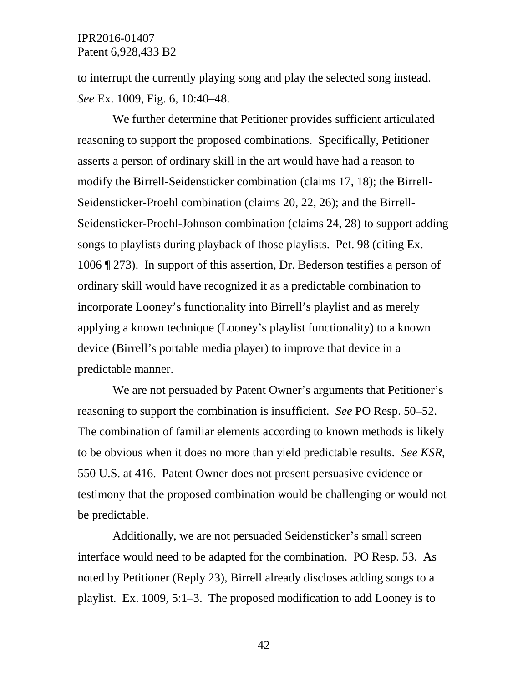to interrupt the currently playing song and play the selected song instead. *See* Ex. 1009, Fig. 6, 10:40–48.

We further determine that Petitioner provides sufficient articulated reasoning to support the proposed combinations. Specifically, Petitioner asserts a person of ordinary skill in the art would have had a reason to modify the Birrell-Seidensticker combination (claims 17, 18); the Birrell-Seidensticker-Proehl combination (claims 20, 22, 26); and the Birrell-Seidensticker-Proehl-Johnson combination (claims 24, 28) to support adding songs to playlists during playback of those playlists. Pet. 98 (citing Ex. 1006 ¶ 273). In support of this assertion, Dr. Bederson testifies a person of ordinary skill would have recognized it as a predictable combination to incorporate Looney's functionality into Birrell's playlist and as merely applying a known technique (Looney's playlist functionality) to a known device (Birrell's portable media player) to improve that device in a predictable manner.

We are not persuaded by Patent Owner's arguments that Petitioner's reasoning to support the combination is insufficient. *See* PO Resp. 50–52. The combination of familiar elements according to known methods is likely to be obvious when it does no more than yield predictable results. *See KSR*, 550 U.S. at 416. Patent Owner does not present persuasive evidence or testimony that the proposed combination would be challenging or would not be predictable.

Additionally, we are not persuaded Seidensticker's small screen interface would need to be adapted for the combination. PO Resp. 53. As noted by Petitioner (Reply 23), Birrell already discloses adding songs to a playlist. Ex. 1009, 5:1–3. The proposed modification to add Looney is to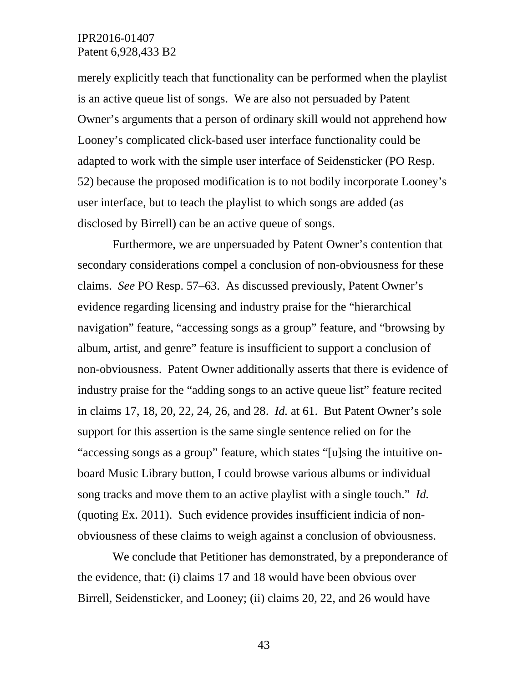merely explicitly teach that functionality can be performed when the playlist is an active queue list of songs. We are also not persuaded by Patent Owner's arguments that a person of ordinary skill would not apprehend how Looney's complicated click-based user interface functionality could be adapted to work with the simple user interface of Seidensticker (PO Resp. 52) because the proposed modification is to not bodily incorporate Looney's user interface, but to teach the playlist to which songs are added (as disclosed by Birrell) can be an active queue of songs.

Furthermore, we are unpersuaded by Patent Owner's contention that secondary considerations compel a conclusion of non-obviousness for these claims. *See* PO Resp. 57–63. As discussed previously, Patent Owner's evidence regarding licensing and industry praise for the "hierarchical navigation" feature, "accessing songs as a group" feature, and "browsing by album, artist, and genre" feature is insufficient to support a conclusion of non-obviousness. Patent Owner additionally asserts that there is evidence of industry praise for the "adding songs to an active queue list" feature recited in claims 17, 18, 20, 22, 24, 26, and 28. *Id.* at 61. But Patent Owner's sole support for this assertion is the same single sentence relied on for the "accessing songs as a group" feature, which states "[u]sing the intuitive onboard Music Library button, I could browse various albums or individual song tracks and move them to an active playlist with a single touch." *Id.*  (quoting Ex. 2011). Such evidence provides insufficient indicia of nonobviousness of these claims to weigh against a conclusion of obviousness.

We conclude that Petitioner has demonstrated, by a preponderance of the evidence, that: (i) claims 17 and 18 would have been obvious over Birrell, Seidensticker, and Looney; (ii) claims 20, 22, and 26 would have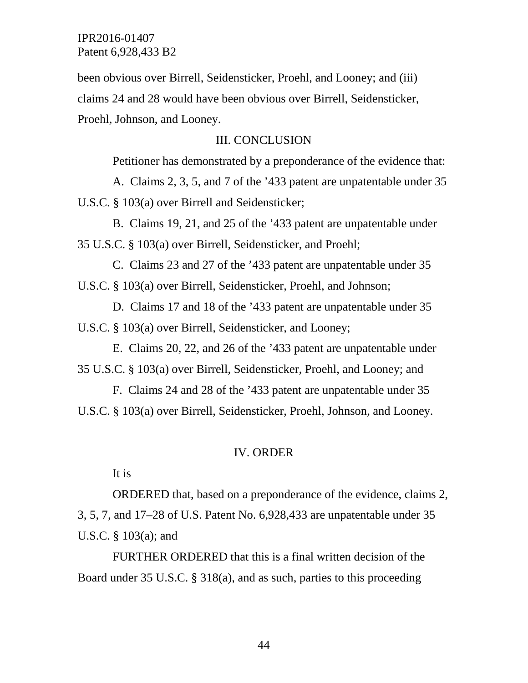been obvious over Birrell, Seidensticker, Proehl, and Looney; and (iii) claims 24 and 28 would have been obvious over Birrell, Seidensticker, Proehl, Johnson, and Looney.

# III. CONCLUSION

Petitioner has demonstrated by a preponderance of the evidence that:

A. Claims 2, 3, 5, and 7 of the '433 patent are unpatentable under 35 U.S.C. § 103(a) over Birrell and Seidensticker;

B. Claims 19, 21, and 25 of the '433 patent are unpatentable under 35 U.S.C. § 103(a) over Birrell, Seidensticker, and Proehl;

C. Claims 23 and 27 of the '433 patent are unpatentable under 35 U.S.C. § 103(a) over Birrell, Seidensticker, Proehl, and Johnson;

D. Claims 17 and 18 of the '433 patent are unpatentable under 35 U.S.C. § 103(a) over Birrell, Seidensticker, and Looney;

E. Claims 20, 22, and 26 of the '433 patent are unpatentable under 35 U.S.C. § 103(a) over Birrell, Seidensticker, Proehl, and Looney; and

F. Claims 24 and 28 of the '433 patent are unpatentable under 35 U.S.C. § 103(a) over Birrell, Seidensticker, Proehl, Johnson, and Looney.

#### IV. ORDER

It is

ORDERED that, based on a preponderance of the evidence, claims 2, 3, 5, 7, and 17–28 of U.S. Patent No. 6,928,433 are unpatentable under 35 U.S.C. § 103(a); and

FURTHER ORDERED that this is a final written decision of the Board under 35 U.S.C. § 318(a), and as such, parties to this proceeding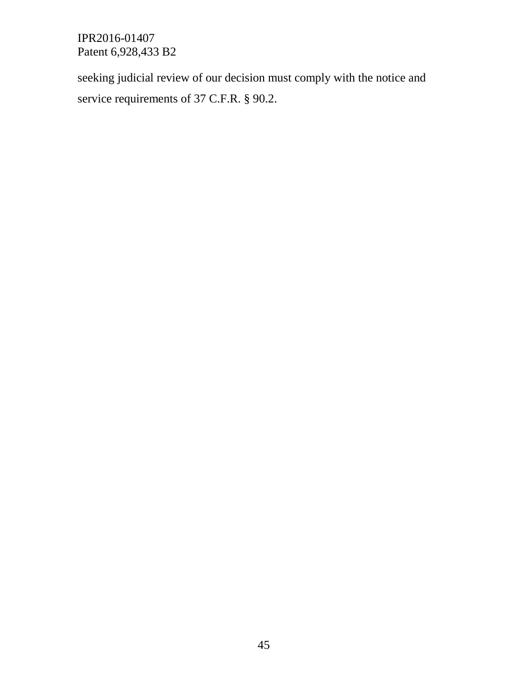seeking judicial review of our decision must comply with the notice and service requirements of 37 C.F.R. § 90.2.